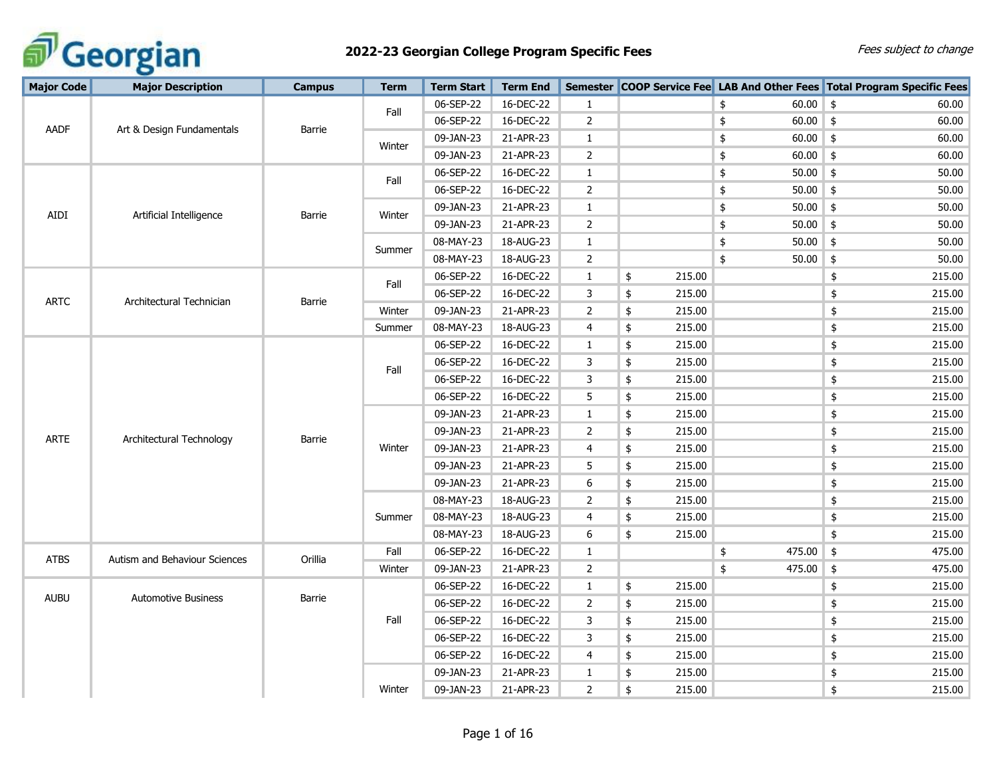

| <b>Major Code</b> | <b>Major Description</b>      | <b>Campus</b> | <b>Term</b> | <b>Term Start</b> | <b>Term End</b> |                |                         |                  | Semester COOP Service Fee LAB And Other Fees Total Program Specific Fees |
|-------------------|-------------------------------|---------------|-------------|-------------------|-----------------|----------------|-------------------------|------------------|--------------------------------------------------------------------------|
|                   |                               |               | Fall        | 06-SEP-22         | 16-DEC-22       | 1              |                         | $60.00$ \$<br>\$ | 60.00                                                                    |
| AADF              | Art & Design Fundamentals     | Barrie        |             | 06-SEP-22         | 16-DEC-22       | $\overline{2}$ |                         | $60.00$ \$<br>\$ | 60.00                                                                    |
|                   |                               |               | Winter      | 09-JAN-23         | 21-APR-23       | $\mathbf{1}$   |                         | $60.00$ \$<br>\$ | 60.00                                                                    |
|                   |                               |               |             | 09-JAN-23         | 21-APR-23       | $\overline{2}$ |                         | $60.00$ \$<br>\$ | 60.00                                                                    |
|                   |                               |               | Fall        | 06-SEP-22         | 16-DEC-22       | $\mathbf{1}$   |                         | $50.00$ \$<br>\$ | 50.00                                                                    |
|                   |                               |               |             | 06-SEP-22         | 16-DEC-22       | $\overline{2}$ |                         | $50.00$ \$<br>\$ | 50.00                                                                    |
| AIDI              | Artificial Intelligence       | Barrie        | Winter      | 09-JAN-23         | 21-APR-23       | $\mathbf{1}$   |                         | \$<br>$50.00$ \$ | 50.00                                                                    |
|                   |                               |               |             | 09-JAN-23         | 21-APR-23       | $\overline{2}$ |                         | \$<br>$50.00$ \$ | 50.00                                                                    |
|                   |                               |               |             | 08-MAY-23         | 18-AUG-23       | $\mathbf{1}$   |                         | \$<br>$50.00$ \$ | 50.00                                                                    |
|                   |                               |               | Summer      | 08-MAY-23         | 18-AUG-23       | $\overline{2}$ |                         | \$<br>$50.00$ \$ | 50.00                                                                    |
|                   |                               |               | Fall        | 06-SEP-22         | 16-DEC-22       | 1              | 215.00<br>\$            |                  | $\pmb{\$}$<br>215.00                                                     |
| <b>ARTC</b>       | Architectural Technician      | Barrie        |             | 06-SEP-22         | 16-DEC-22       | 3              | \$<br>215.00            |                  | \$<br>215.00                                                             |
|                   |                               |               | Winter      | 09-JAN-23         | 21-APR-23       | $\overline{2}$ | \$<br>215.00            |                  | $\pmb{\$}$<br>215.00                                                     |
|                   |                               |               | Summer      | 08-MAY-23         | 18-AUG-23       | 4              | \$<br>215.00            |                  | $\pmb{\$}$<br>215.00                                                     |
|                   |                               |               |             | 06-SEP-22         | 16-DEC-22       | $\mathbf{1}$   | \$<br>215.00            |                  | $\pmb{\$}$<br>215.00                                                     |
|                   |                               |               | Fall        | 06-SEP-22         | 16-DEC-22       | 3              | \$<br>215.00            |                  | $\pmb{\$}$<br>215.00                                                     |
|                   |                               |               |             | 06-SEP-22         | 16-DEC-22       | 3              | \$<br>215.00            |                  | $\pmb{\$}$<br>215.00                                                     |
|                   |                               |               |             | 06-SEP-22         | 16-DEC-22       | 5              | \$<br>215.00            |                  | $\pmb{\$}$<br>215.00                                                     |
|                   |                               |               |             | 09-JAN-23         | 21-APR-23       | $\mathbf{1}$   | \$<br>215.00            |                  | $\pmb{\$}$<br>215.00                                                     |
| <b>ARTE</b>       | Architectural Technology      | Barrie        |             | 09-JAN-23         | 21-APR-23       | $\overline{2}$ | \$<br>215.00            |                  | 215.00<br>\$                                                             |
|                   |                               |               | Winter      | 09-JAN-23         | 21-APR-23       | $\overline{4}$ | \$<br>215.00            |                  | $\pmb{\$}$<br>215.00                                                     |
|                   |                               |               |             | 09-JAN-23         | 21-APR-23       | 5              | \$<br>215.00            |                  | $\pmb{\$}$<br>215.00                                                     |
|                   |                               |               |             | 09-JAN-23         | 21-APR-23       | 6              | \$<br>215.00            |                  | \$<br>215.00                                                             |
|                   |                               |               |             | 08-MAY-23         | 18-AUG-23       | $\overline{2}$ | \$<br>215.00            |                  | \$<br>215.00                                                             |
|                   |                               |               | Summer      | 08-MAY-23         | 18-AUG-23       | 4              | 215.00<br>\$            |                  | $\pmb{\$}$<br>215.00                                                     |
|                   |                               |               |             | 08-MAY-23         | 18-AUG-23       | 6              | \$<br>215.00            |                  | $\pmb{\$}$<br>215.00                                                     |
| <b>ATBS</b>       | Autism and Behaviour Sciences | Orillia       | Fall        | 06-SEP-22         | 16-DEC-22       | $\mathbf{1}$   |                         | 475.00<br>\$     | \$<br>475.00                                                             |
|                   |                               |               | Winter      | 09-JAN-23         | 21-APR-23       | $\overline{2}$ |                         | \$<br>475.00     | $\pmb{\mathfrak{\$}}$<br>475.00                                          |
|                   |                               |               |             | 06-SEP-22         | 16-DEC-22       | $\mathbf{1}$   | 215.00<br>$\frac{1}{2}$ |                  | $\pmb{\$}$<br>215.00                                                     |
| <b>AUBU</b>       | <b>Automotive Business</b>    | Barrie        |             | 06-SEP-22         | 16-DEC-22       | 2              | 215.00<br>\$            |                  | $\pmb{\$}$<br>215.00                                                     |
|                   |                               |               | Fall        | 06-SEP-22         | 16-DEC-22       | 3              | \$<br>215.00            |                  | \$<br>215.00                                                             |
|                   |                               |               |             | 06-SEP-22         | 16-DEC-22       | 3              | \$<br>215.00            |                  | 215.00<br>\$                                                             |
|                   |                               |               |             | 06-SEP-22         | 16-DEC-22       | $\overline{4}$ | \$<br>215.00            |                  | $\pmb{\$}$<br>215.00                                                     |
|                   |                               |               |             | 09-JAN-23         | 21-APR-23       | $\mathbf{1}$   | \$<br>215.00            |                  | \$<br>215.00                                                             |
|                   |                               |               | Winter      | 09-JAN-23         | 21-APR-23       | $\overline{2}$ | \$<br>215.00            |                  | \$<br>215.00                                                             |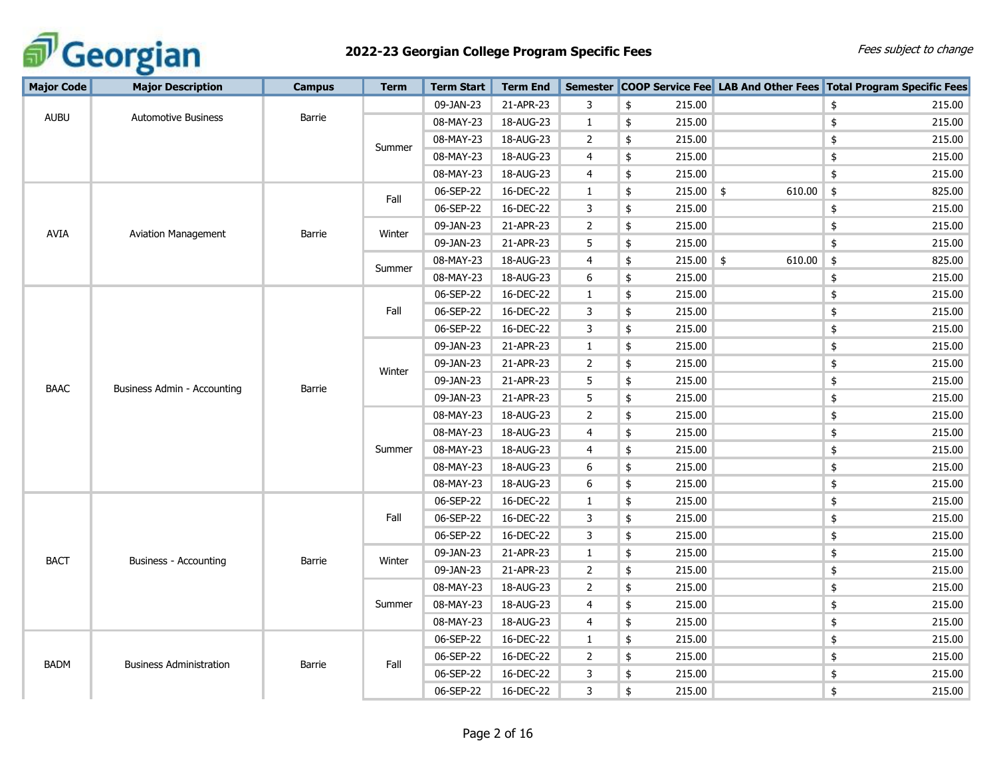

| <b>Major Code</b>                          | <b>Major Description</b>       | <b>Campus</b> | <b>Term</b> | <b>Term Start</b> | <b>Term End</b> |                |               |             |                         | Semester COOP Service Fee LAB And Other Fees Total Program Specific Fees |
|--------------------------------------------|--------------------------------|---------------|-------------|-------------------|-----------------|----------------|---------------|-------------|-------------------------|--------------------------------------------------------------------------|
|                                            |                                |               |             | 09-JAN-23         | 21-APR-23       | 3              | \$            | 215.00      |                         | \$<br>215.00                                                             |
| <b>AUBU</b>                                | <b>Automotive Business</b>     | Barrie        |             | 08-MAY-23         | 18-AUG-23       | $\mathbf{1}$   | \$            | 215.00      |                         | $\pmb{\$}$<br>215.00                                                     |
|                                            |                                |               |             | 08-MAY-23         | 18-AUG-23       | $\mathbf{2}$   | \$            | 215.00      |                         | \$<br>215.00                                                             |
|                                            |                                |               | Summer      | 08-MAY-23         | 18-AUG-23       | $\overline{4}$ | \$            | 215.00      |                         | 215.00<br>\$                                                             |
|                                            |                                |               |             | 08-MAY-23         | 18-AUG-23       | $\overline{4}$ | \$            | 215.00      |                         | \$<br>215.00                                                             |
|                                            |                                |               |             | 06-SEP-22         | 16-DEC-22       | 1              | \$            | $215.00$ \$ | 610.00                  | $\frac{1}{2}$<br>825.00                                                  |
|                                            |                                |               | Fall        | 06-SEP-22         | 16-DEC-22       | 3              | \$            | 215.00      |                         | $\pmb{\mathfrak{\mathfrak{p}}}$<br>215.00                                |
|                                            |                                |               |             | 09-JAN-23         | 21-APR-23       | $\overline{2}$ | \$            | 215.00      |                         | \$<br>215.00                                                             |
| <b>AVIA</b>                                | Aviation Management            | <b>Barrie</b> | Winter      | 09-JAN-23         | 21-APR-23       | 5              | \$            | 215.00      |                         | \$<br>215.00                                                             |
|                                            |                                |               |             | 08-MAY-23         | 18-AUG-23       | $\overline{4}$ | \$            | 215.00      | $\frac{1}{2}$<br>610.00 | $\pmb{\$}$<br>825.00                                                     |
|                                            |                                |               | Summer      | 08-MAY-23         | 18-AUG-23       | 6              | \$            | 215.00      |                         | $\pmb{\$}$<br>215.00                                                     |
|                                            |                                |               |             | 06-SEP-22         | 16-DEC-22       | $\mathbf{1}$   | \$            | 215.00      |                         | $\pmb{\$}$<br>215.00                                                     |
|                                            |                                |               | Fall        | 06-SEP-22         | 16-DEC-22       | 3              | \$            | 215.00      |                         | $\pmb{\$}$<br>215.00                                                     |
|                                            |                                |               |             | 06-SEP-22         | 16-DEC-22       | 3              | \$            | 215.00      |                         | $\pmb{\$}$<br>215.00                                                     |
|                                            |                                |               |             | 09-JAN-23         | 21-APR-23       | $\mathbf{1}$   | \$            | 215.00      |                         | $\pmb{\$}$<br>215.00                                                     |
| <b>BAAC</b><br>Business Admin - Accounting |                                | Winter        | 09-JAN-23   | 21-APR-23         | $\overline{2}$  | \$             | 215.00        |             | $\pmb{\$}$<br>215.00    |                                                                          |
|                                            |                                |               | 09-JAN-23   | 21-APR-23         | 5               | \$             | 215.00        |             | $\pmb{\$}$<br>215.00    |                                                                          |
|                                            |                                | Barrie        |             | 09-JAN-23         | 21-APR-23       | 5              | \$            | 215.00      |                         | $\pmb{\$}$<br>215.00                                                     |
|                                            |                                |               |             | 08-MAY-23         | 18-AUG-23       | $\overline{2}$ | \$            | 215.00      |                         | $\pmb{\$}$<br>215.00                                                     |
|                                            |                                |               |             | 08-MAY-23         | 18-AUG-23       | 4              | \$            | 215.00      |                         | $\pmb{\$}$<br>215.00                                                     |
|                                            |                                |               | Summer      | 08-MAY-23         | 18-AUG-23       | 4              | $\frac{1}{2}$ | 215.00      |                         | $\pmb{\$}$<br>215.00                                                     |
|                                            |                                |               |             | 08-MAY-23         | 18-AUG-23       | 6              | \$            | 215.00      |                         | $\pmb{\mathfrak{\mathfrak{p}}}$<br>215.00                                |
|                                            |                                |               |             | 08-MAY-23         | 18-AUG-23       | 6              | \$            | 215.00      |                         | $\pmb{\$}$<br>215.00                                                     |
|                                            |                                |               |             | 06-SEP-22         | 16-DEC-22       | $\mathbf{1}$   | \$            | 215.00      |                         | $\pmb{\$}$<br>215.00                                                     |
|                                            |                                |               | Fall        | 06-SEP-22         | 16-DEC-22       | 3              | \$            | 215.00      |                         | $\pmb{\$}$<br>215.00                                                     |
|                                            |                                |               |             | 06-SEP-22         | 16-DEC-22       | 3              | \$            | 215.00      |                         | $\pmb{\$}$<br>215.00                                                     |
| <b>BACT</b>                                | Business - Accounting          | Barrie        | Winter      | 09-JAN-23         | 21-APR-23       | $\mathbf{1}$   | \$            | 215.00      |                         | $\pmb{\$}$<br>215.00                                                     |
|                                            |                                |               |             | 09-JAN-23         | 21-APR-23       | $\overline{2}$ | \$            | 215.00      |                         | $\pmb{\mathfrak{\mathfrak{p}}}$<br>215.00                                |
|                                            |                                |               |             | 08-MAY-23         | 18-AUG-23       | $\overline{2}$ | \$            | 215.00      |                         | $\pmb{\$}$<br>215.00                                                     |
|                                            |                                |               | Summer      | 08-MAY-23         | 18-AUG-23       | 4              | \$            | 215.00      |                         | $\pmb{\$}$<br>215.00                                                     |
|                                            |                                |               |             | 08-MAY-23         | 18-AUG-23       | $\overline{4}$ | \$            | 215.00      |                         | 215.00<br>\$                                                             |
|                                            |                                |               |             | 06-SEP-22         | 16-DEC-22       | $\mathbf{1}$   | \$            | 215.00      |                         | $\pmb{\$}$<br>215.00                                                     |
| <b>BADM</b>                                | <b>Business Administration</b> |               |             | 06-SEP-22         | 16-DEC-22       | $\overline{2}$ | \$            | 215.00      |                         | \$<br>215.00                                                             |
|                                            |                                | Barrie        | Fall        | 06-SEP-22         | 16-DEC-22       | 3              | \$            | 215.00      |                         | \$<br>215.00                                                             |
|                                            |                                |               |             | 06-SEP-22         | 16-DEC-22       | 3              | \$            | 215.00      |                         | 215.00<br>\$                                                             |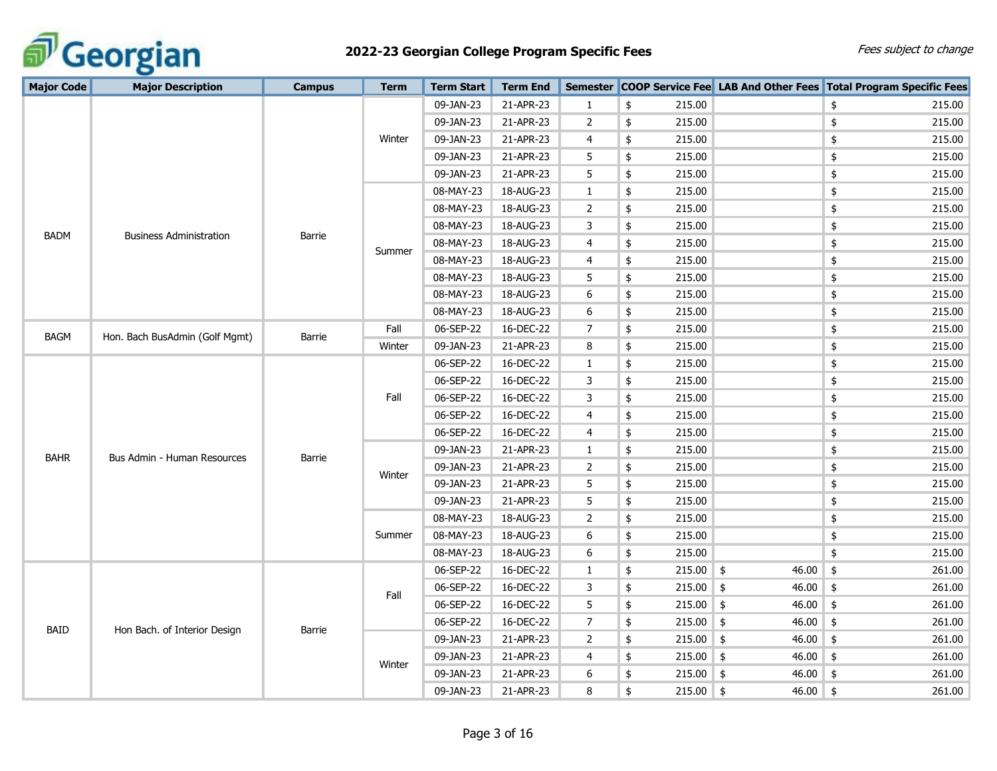

| <b>Major Code</b> | <b>Major Description</b>               | <b>Campus</b> | <b>Term</b> | <b>Term Start</b> | <b>Term End</b> | <b>Semester</b> |                   |              | <b>COOP Service Fee</b> LAB And Other Fees Total Program Specific Fees |
|-------------------|----------------------------------------|---------------|-------------|-------------------|-----------------|-----------------|-------------------|--------------|------------------------------------------------------------------------|
|                   |                                        |               |             | 09-JAN-23         | 21-APR-23       | $\mathbf{1}$    | \$<br>215.00      |              | \$<br>215.00                                                           |
|                   |                                        |               |             | 09-JAN-23         | 21-APR-23       | $\overline{2}$  | \$<br>215.00      |              | 215.00<br>\$                                                           |
|                   |                                        |               | Winter      | 09-JAN-23         | 21-APR-23       | 4               | 215.00<br>\$      |              | 215.00<br>\$                                                           |
|                   |                                        |               |             | 09-JAN-23         | 21-APR-23       | 5               | \$<br>215.00      |              | 215.00<br>\$                                                           |
|                   |                                        |               |             | 09-JAN-23         | 21-APR-23       | 5               | \$<br>215.00      |              | \$<br>215.00                                                           |
|                   |                                        |               |             | 08-MAY-23         | 18-AUG-23       | $\mathbf{1}$    | \$<br>215.00      |              | \$<br>215.00                                                           |
|                   |                                        |               |             | 08-MAY-23         | 18-AUG-23       | 2               | \$<br>215.00      |              | \$<br>215.00                                                           |
|                   |                                        |               |             | 08-MAY-23         | 18-AUG-23       | 3               | \$<br>215.00      |              | \$<br>215.00                                                           |
| <b>BADM</b>       | <b>Business Administration</b>         | <b>Barrie</b> |             | 08-MAY-23         | 18-AUG-23       | 4               | 215.00<br>\$      |              | \$<br>215.00                                                           |
|                   |                                        |               | Summer      | 08-MAY-23         | 18-AUG-23       | 4               | 215.00<br>\$      |              | \$<br>215.00                                                           |
|                   |                                        |               |             | 08-MAY-23         | 18-AUG-23       | 5               | 215.00<br>\$      |              | \$<br>215.00                                                           |
|                   |                                        |               |             | 08-MAY-23         | 18-AUG-23       | 6               | 215.00<br>\$      |              | \$<br>215.00                                                           |
|                   |                                        |               |             | 08-MAY-23         | 18-AUG-23       | 6               | \$<br>215.00      |              | \$<br>215.00                                                           |
|                   | Hon. Bach BusAdmin (Golf Mgmt)<br>BAGM |               | Fall        | 06-SEP-22         | 16-DEC-22       | $\overline{7}$  | \$<br>215.00      |              | \$<br>215.00                                                           |
|                   |                                        | Barrie        | Winter      | 09-JAN-23         | 21-APR-23       | 8               | 215.00<br>\$      |              | \$<br>215.00                                                           |
|                   |                                        |               |             | 06-SEP-22         | 16-DEC-22       | $\mathbf{1}$    | 215.00<br>\$      |              | \$<br>215.00                                                           |
|                   |                                        |               |             | 06-SEP-22         | 16-DEC-22       | 3               | \$<br>215.00      |              | \$<br>215.00                                                           |
|                   |                                        | Fall          | 06-SEP-22   | 16-DEC-22         | 3               | \$<br>215.00    |                   | 215.00<br>\$ |                                                                        |
|                   |                                        |               |             | 06-SEP-22         | 16-DEC-22       | 4               | \$<br>215.00      |              | \$<br>215.00                                                           |
|                   |                                        |               |             | 06-SEP-22         | 16-DEC-22       | 4               | \$<br>215.00      |              | \$<br>215.00                                                           |
|                   |                                        |               |             | 09-JAN-23         | 21-APR-23       | 1               | \$<br>215.00      |              | \$<br>215.00                                                           |
| <b>BAHR</b>       | Bus Admin - Human Resources            | Barrie        |             | 09-JAN-23         | 21-APR-23       | $\overline{2}$  | 215.00<br>\$      |              | \$<br>215.00                                                           |
|                   |                                        |               | Winter      | 09-JAN-23         | 21-APR-23       | 5               | \$<br>215.00      |              | \$<br>215.00                                                           |
|                   |                                        |               |             | 09-JAN-23         | 21-APR-23       | 5               | 215.00<br>\$      |              | \$<br>215.00                                                           |
|                   |                                        |               |             | 08-MAY-23         | 18-AUG-23       | $\overline{2}$  | 215.00<br>\$      |              | \$<br>215.00                                                           |
|                   |                                        |               | Summer      | 08-MAY-23         | 18-AUG-23       | 6               | \$<br>215.00      |              | \$<br>215.00                                                           |
|                   |                                        |               |             | 08-MAY-23         | 18-AUG-23       | 6               | 215.00<br>\$      |              | \$<br>215.00                                                           |
|                   |                                        |               |             | 06-SEP-22         | 16-DEC-22       | $\mathbf{1}$    | $215.00$ \$<br>\$ | $46.00$ \$   | 261.00                                                                 |
|                   |                                        |               |             | 06-SEP-22         | 16-DEC-22       | 3               | $215.00$ \$<br>\$ | $46.00$ \$   | 261.00                                                                 |
|                   |                                        |               | Fall        | 06-SEP-22         | 16-DEC-22       | 5               | \$<br>$215.00$ \$ | $46.00$ \$   | 261.00                                                                 |
|                   |                                        |               |             | 06-SEP-22         | 16-DEC-22       | $\overline{7}$  | \$<br>$215.00$ \$ | $46.00$ \$   | 261.00                                                                 |
| <b>BAID</b>       | Hon Bach. of Interior Design           | Barrie        |             | 09-JAN-23         | 21-APR-23       | 2               | \$<br>$215.00$ \$ | 46.00        | \$<br>261.00                                                           |
|                   |                                        |               |             | 09-JAN-23         | 21-APR-23       | 4               | $215.00$ \$<br>\$ | $46.00$ \$   | 261.00                                                                 |
|                   |                                        |               | Winter      | 09-JAN-23         | 21-APR-23       | 6               | $215.00$ \$<br>\$ | 46.00        | \$<br>261.00                                                           |
|                   |                                        |               |             | 09-JAN-23         | 21-APR-23       | 8               | $215.00$ \$<br>\$ | $46.00$ \$   | 261.00                                                                 |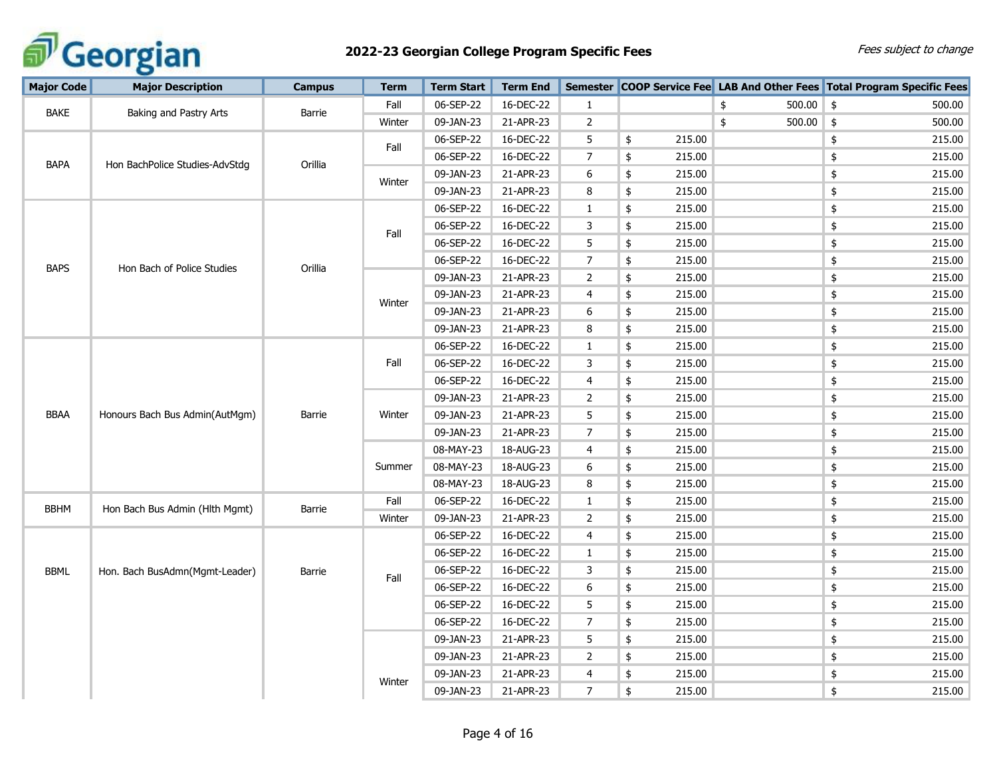

| <b>Major Code</b> | <b>Major Description</b>       | <b>Campus</b> | <b>Term</b> | <b>Term Start</b> | <b>Term End</b> |                |              |                   | Semester COOP Service Fee LAB And Other Fees Total Program Specific Fees |
|-------------------|--------------------------------|---------------|-------------|-------------------|-----------------|----------------|--------------|-------------------|--------------------------------------------------------------------------|
|                   |                                |               | Fall        | 06-SEP-22         | 16-DEC-22       | 1              |              | $500.00$ \$<br>\$ | 500.00                                                                   |
| <b>BAKE</b>       | Baking and Pastry Arts         | Barrie        | Winter      | 09-JAN-23         | 21-APR-23       | $\overline{2}$ |              | \$<br>500.00      | $\frac{1}{2}$<br>500.00                                                  |
|                   |                                |               |             | 06-SEP-22         | 16-DEC-22       | 5              | 215.00<br>\$ |                   | \$<br>215.00                                                             |
| <b>BAPA</b>       | Hon BachPolice Studies-AdvStdg | Orillia       | Fall        | 06-SEP-22         | 16-DEC-22       | $\overline{7}$ | 215.00<br>\$ |                   | 215.00<br>\$                                                             |
|                   |                                |               |             | 09-JAN-23         | 21-APR-23       | 6              | \$<br>215.00 |                   | \$<br>215.00                                                             |
|                   |                                |               | Winter      | 09-JAN-23         | 21-APR-23       | 8              | \$<br>215.00 |                   | \$<br>215.00                                                             |
|                   |                                |               |             | 06-SEP-22         | 16-DEC-22       | 1              | \$<br>215.00 |                   | \$<br>215.00                                                             |
|                   |                                |               | Fall        | 06-SEP-22         | 16-DEC-22       | 3              | \$<br>215.00 |                   | \$<br>215.00                                                             |
|                   |                                |               |             | 06-SEP-22         | 16-DEC-22       | 5              | \$<br>215.00 |                   | $\pmb{\$}$<br>215.00                                                     |
| <b>BAPS</b>       | Hon Bach of Police Studies     | Orillia       |             | 06-SEP-22         | 16-DEC-22       | $\overline{7}$ | 215.00<br>\$ |                   | $\pmb{\$}$<br>215.00                                                     |
|                   |                                |               |             | 09-JAN-23         | 21-APR-23       | 2              | \$<br>215.00 |                   | $\pmb{\$}$<br>215.00                                                     |
|                   |                                |               | Winter      | 09-JAN-23         | 21-APR-23       | 4              | \$<br>215.00 |                   | $\pmb{\$}$<br>215.00                                                     |
|                   |                                |               |             | 09-JAN-23         | 21-APR-23       | 6              | \$<br>215.00 |                   | $\pmb{\$}$<br>215.00                                                     |
|                   |                                |               |             | 09-JAN-23         | 21-APR-23       | 8              | \$<br>215.00 |                   | $\pmb{\$}$<br>215.00                                                     |
|                   |                                |               |             | 06-SEP-22         | 16-DEC-22       | 1              | \$<br>215.00 |                   | $\pmb{\$}$<br>215.00                                                     |
|                   |                                |               | Fall        | 06-SEP-22         | 16-DEC-22       | 3              | \$<br>215.00 |                   | $\pmb{\$}$<br>215.00                                                     |
|                   |                                |               |             | 06-SEP-22         | 16-DEC-22       | 4              | \$<br>215.00 |                   | \$<br>215.00                                                             |
|                   |                                |               |             | 09-JAN-23         | 21-APR-23       | $\overline{2}$ | \$<br>215.00 |                   | 215.00<br>\$                                                             |
| <b>BBAA</b>       | Honours Bach Bus Admin(AutMgm) | Barrie        | Winter      | 09-JAN-23         | 21-APR-23       | 5              | \$<br>215.00 |                   | \$<br>215.00                                                             |
|                   |                                |               |             | 09-JAN-23         | 21-APR-23       | $\overline{7}$ | \$<br>215.00 |                   | $\pmb{\$}$<br>215.00                                                     |
|                   |                                |               |             | 08-MAY-23         | 18-AUG-23       | 4              | 215.00<br>\$ |                   | $\pmb{\$}$<br>215.00                                                     |
|                   |                                |               | Summer      | 08-MAY-23         | 18-AUG-23       | 6              | \$<br>215.00 |                   | $\pmb{\$}$<br>215.00                                                     |
|                   |                                |               |             | 08-MAY-23         | 18-AUG-23       | 8              | \$<br>215.00 |                   | $\pmb{\$}$<br>215.00                                                     |
| <b>BBHM</b>       | Hon Bach Bus Admin (Hlth Mgmt) | Barrie        | Fall        | 06-SEP-22         | 16-DEC-22       | $\mathbf{1}$   | 215.00<br>\$ |                   | $\pmb{\$}$<br>215.00                                                     |
|                   |                                |               | Winter      | 09-JAN-23         | 21-APR-23       | 2              | \$<br>215.00 |                   | $\pmb{\$}$<br>215.00                                                     |
|                   |                                |               |             | 06-SEP-22         | 16-DEC-22       | 4              | 215.00<br>\$ |                   | $\pmb{\$}$<br>215.00                                                     |
|                   |                                |               |             | 06-SEP-22         | 16-DEC-22       | $\mathbf{1}$   | \$<br>215.00 |                   | $\pmb{\$}$<br>215.00                                                     |
| <b>BBML</b>       | Hon. Bach BusAdmn(Mgmt-Leader) | Barrie        | Fall        | 06-SEP-22         | 16-DEC-22       | 3              | 215.00<br>\$ |                   | $\pmb{\$}$<br>215.00                                                     |
|                   |                                |               |             | 06-SEP-22         | 16-DEC-22       | 6              | \$<br>215.00 |                   | \$<br>215.00                                                             |
|                   |                                |               |             | 06-SEP-22         | 16-DEC-22       | 5              | \$<br>215.00 |                   | $\pmb{\$}$<br>215.00                                                     |
|                   |                                |               |             | 06-SEP-22         | 16-DEC-22       | $\overline{7}$ | \$<br>215.00 |                   | $\pmb{\$}$<br>215.00                                                     |
|                   |                                |               |             | 09-JAN-23         | 21-APR-23       | 5              | \$<br>215.00 |                   | \$<br>215.00                                                             |
|                   |                                |               |             | 09-JAN-23         | 21-APR-23       | $\overline{2}$ | \$<br>215.00 |                   | $\pmb{\$}$<br>215.00                                                     |
|                   |                                |               | Winter      | 09-JAN-23         | 21-APR-23       | 4              | \$<br>215.00 |                   | \$<br>215.00                                                             |
|                   |                                |               |             | 09-JAN-23         | 21-APR-23       | $\overline{7}$ | \$<br>215.00 |                   | \$<br>215.00                                                             |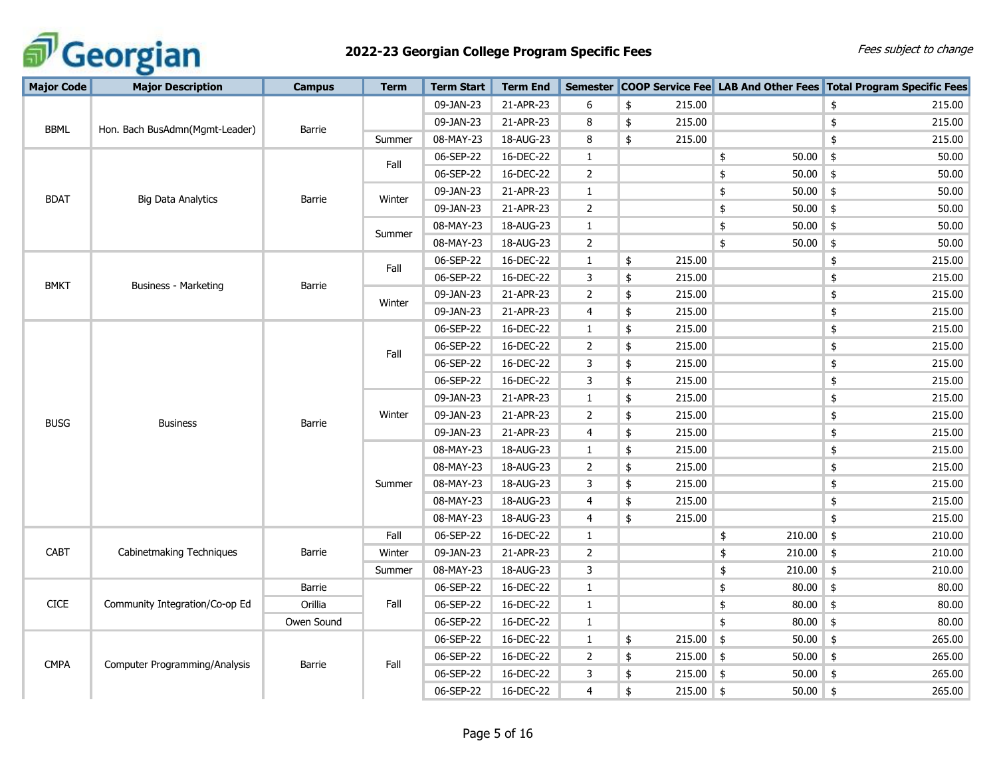

| <b>Major Code</b> | <b>Major Description</b>       | <b>Campus</b> | <b>Term</b> | <b>Term Start</b> | <b>Term End</b> |                |              |             |                        | Semester COOP Service Fee LAB And Other Fees Total Program Specific Fees |
|-------------------|--------------------------------|---------------|-------------|-------------------|-----------------|----------------|--------------|-------------|------------------------|--------------------------------------------------------------------------|
|                   |                                |               |             | 09-JAN-23         | 21-APR-23       | 6              | \$<br>215.00 |             |                        | \$<br>215.00                                                             |
|                   |                                |               |             | 09-JAN-23         | 21-APR-23       | 8              | \$<br>215.00 |             |                        | \$<br>215.00                                                             |
| <b>BBML</b>       | Hon. Bach BusAdmn(Mgmt-Leader) | Barrie        | Summer      | 08-MAY-23         | 18-AUG-23       | 8              | \$<br>215.00 |             |                        | \$<br>215.00                                                             |
|                   |                                |               |             | 06-SEP-22         | 16-DEC-22       | $\mathbf{1}$   |              |             | $50.00$ \$<br>\$       | 50.00                                                                    |
|                   |                                |               | Fall        | 06-SEP-22         | 16-DEC-22       | $\overline{2}$ |              |             | 50.00<br>\$            | \$<br>50.00                                                              |
| <b>BDAT</b>       |                                | <b>Barrie</b> | Winter      | 09-JAN-23         | 21-APR-23       | $\mathbf{1}$   |              |             | $50.00$ \$<br>\$       | 50.00                                                                    |
|                   | <b>Big Data Analytics</b>      |               |             | 09-JAN-23         | 21-APR-23       | $\overline{2}$ |              |             | 50.00<br>\$            | \$<br>50.00                                                              |
|                   |                                |               | Summer      | 08-MAY-23         | 18-AUG-23       | $\mathbf{1}$   |              |             | 50.00<br>\$            | $\frac{1}{2}$<br>50.00                                                   |
|                   |                                |               |             | 08-MAY-23         | 18-AUG-23       | $\overline{2}$ |              |             | \$<br>50.00            | 50.00<br>\$                                                              |
|                   |                                |               | Fall        | 06-SEP-22         | 16-DEC-22       | $\mathbf{1}$   | 215.00<br>\$ |             |                        | \$<br>215.00                                                             |
| <b>BMKT</b>       | Business - Marketing           | Barrie        |             | 06-SEP-22         | 16-DEC-22       | 3              | \$<br>215.00 |             |                        | 215.00<br>\$                                                             |
|                   |                                |               | Winter      | 09-JAN-23         | 21-APR-23       | $\overline{2}$ | \$<br>215.00 |             |                        | \$<br>215.00                                                             |
|                   |                                |               |             | 09-JAN-23         | 21-APR-23       | 4              | \$<br>215.00 |             |                        | 215.00<br>\$                                                             |
|                   |                                |               |             | 06-SEP-22         | 16-DEC-22       | $\mathbf{1}$   | 215.00<br>\$ |             |                        | \$<br>215.00                                                             |
|                   |                                |               | Fall        | 06-SEP-22         | 16-DEC-22       | $\overline{2}$ | \$<br>215.00 |             |                        | 215.00<br>\$                                                             |
|                   |                                |               |             | 06-SEP-22         | 16-DEC-22       | 3              | \$<br>215.00 |             |                        | \$<br>215.00                                                             |
|                   |                                |               |             | 06-SEP-22         | 16-DEC-22       | 3              | \$<br>215.00 |             |                        | \$<br>215.00                                                             |
|                   |                                |               |             | 09-JAN-23         | 21-APR-23       | $\mathbf{1}$   | \$<br>215.00 |             |                        | \$<br>215.00                                                             |
| <b>BUSG</b>       | <b>Business</b>                | Barrie        | Winter      | 09-JAN-23         | 21-APR-23       | $\overline{2}$ | \$<br>215.00 |             |                        | \$<br>215.00                                                             |
|                   |                                |               |             | 09-JAN-23         | 21-APR-23       | $\overline{4}$ | \$<br>215.00 |             |                        | \$<br>215.00                                                             |
|                   |                                |               |             | 08-MAY-23         | 18-AUG-23       | $\mathbf{1}$   | \$<br>215.00 |             |                        | \$<br>215.00                                                             |
|                   |                                |               |             | 08-MAY-23         | 18-AUG-23       | $\overline{2}$ | 215.00<br>\$ |             |                        | \$<br>215.00                                                             |
|                   |                                |               | Summer      | 08-MAY-23         | 18-AUG-23       | 3              | \$<br>215.00 |             |                        | \$<br>215.00                                                             |
|                   |                                |               |             | 08-MAY-23         | 18-AUG-23       | 4              | 215.00<br>\$ |             |                        | \$<br>215.00                                                             |
|                   |                                |               |             | 08-MAY-23         | 18-AUG-23       | 4              | 215.00<br>\$ |             |                        | \$<br>215.00                                                             |
|                   |                                |               | Fall        | 06-SEP-22         | 16-DEC-22       | $\mathbf{1}$   |              |             | 210.00<br>\$           | $\frac{1}{2}$<br>210.00                                                  |
| <b>CABT</b>       | Cabinetmaking Techniques       | <b>Barrie</b> | Winter      | 09-JAN-23         | 21-APR-23       | $\overline{2}$ |              |             | $210.00$ \$<br>\$      | 210.00                                                                   |
|                   |                                |               | Summer      | 08-MAY-23         | 18-AUG-23       | 3              |              |             | 210.00<br>\$           | \$<br>210.00                                                             |
|                   |                                | Barrie        |             | 06-SEP-22         | 16-DEC-22       | $\mathbf{1}$   |              |             | 80.00<br>\$            | 80.00<br>\$                                                              |
| CICE              | Community Integration/Co-op Ed | Orillia       | Fall        | 06-SEP-22         | 16-DEC-22       | $\mathbf{1}$   |              |             | $80.00$ \$<br>\$       | 80.00                                                                    |
|                   |                                | Owen Sound    |             | 06-SEP-22         | 16-DEC-22       | $\mathbf{1}$   |              |             | $80.00$ \$<br>\$       | 80.00                                                                    |
|                   |                                |               |             | 06-SEP-22         | 16-DEC-22       | $\mathbf{1}$   | 215.00<br>\$ |             | $\frac{1}{2}$<br>50.00 | $\frac{1}{2}$<br>265.00                                                  |
| <b>CMPA</b>       | Computer Programming/Analysis  | Barrie        | Fall        | 06-SEP-22         | 16-DEC-22       | $\overline{2}$ | \$<br>215.00 |             | 50.00<br>$\frac{1}{2}$ | \$<br>265.00                                                             |
|                   |                                |               |             | 06-SEP-22         | 16-DEC-22       | 3              | \$           | $215.00$ \$ | 50.00                  | \$<br>265.00                                                             |
|                   |                                |               |             | 06-SEP-22         | 16-DEC-22       | 4              | \$           | $215.00$ \$ | $50.00$ \$             | 265.00                                                                   |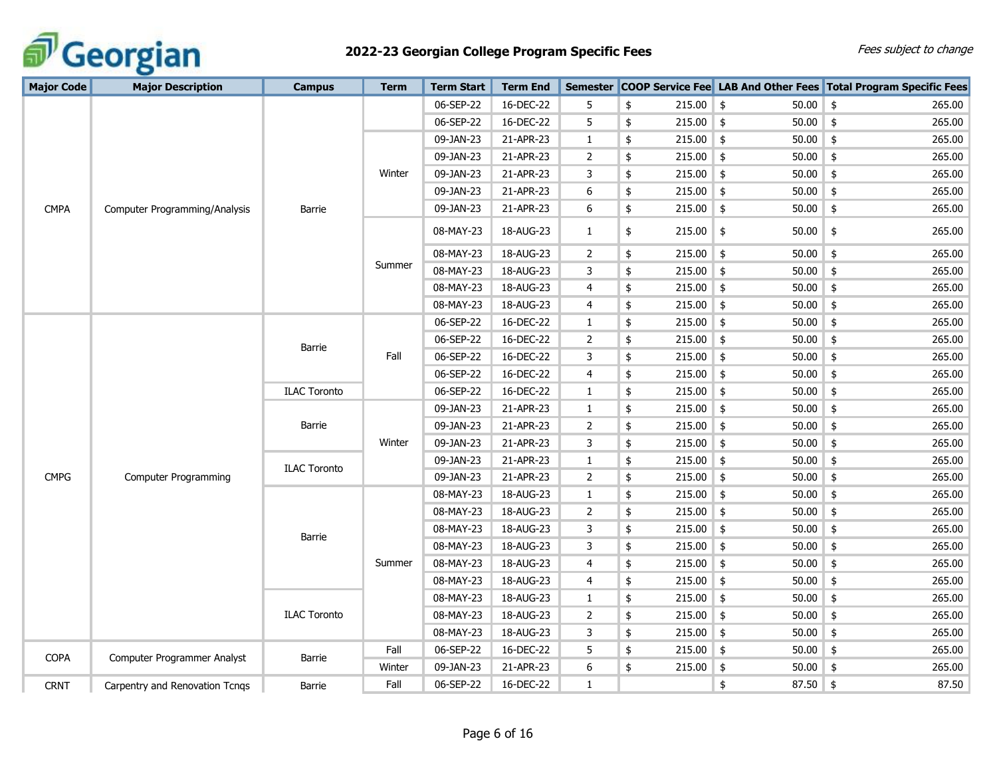

# **2022-23 Georgian College Program Specific Fees** Fees Subject to change **Fees** subject to change

| <b>Major Code</b> | <b>Major Description</b>       | <b>Campus</b>       | <b>Term</b> | Term Start | <b>Term End</b> | <b>Semester</b> |                   |                             | <b>COOP Service Fee</b> LAB And Other Fees Total Program Specific Fees |
|-------------------|--------------------------------|---------------------|-------------|------------|-----------------|-----------------|-------------------|-----------------------------|------------------------------------------------------------------------|
|                   |                                |                     |             | 06-SEP-22  | 16-DEC-22       | 5               | \$<br>$215.00$ \$ | 50.00                       | $\frac{1}{2}$<br>265.00                                                |
|                   |                                |                     |             | 06-SEP-22  | 16-DEC-22       | 5               | \$<br>$215.00$ \$ | $50.00$ \$                  | 265.00                                                                 |
|                   |                                |                     |             | 09-JAN-23  | 21-APR-23       | 1               | \$<br>$215.00$ \$ | 50.00                       | 265.00<br>\$                                                           |
|                   |                                |                     |             | 09-JAN-23  | 21-APR-23       | $\overline{2}$  | \$<br>$215.00$ \$ | $50.00$ \$                  | 265.00                                                                 |
|                   |                                |                     | Winter      | 09-JAN-23  | 21-APR-23       | 3               | \$<br>215.00      | $50.00$ \$<br>\$            | 265.00                                                                 |
|                   |                                |                     |             | 09-JAN-23  | 21-APR-23       | 6               | \$<br>$215.00$ \$ | 50.00                       | \$<br>265.00                                                           |
| <b>CMPA</b>       | Computer Programming/Analysis  | Barrie              |             | 09-JAN-23  | 21-APR-23       | 6               | \$<br>$215.00$ \$ | 50.00                       | $\frac{1}{2}$<br>265.00                                                |
|                   |                                |                     |             | 08-MAY-23  | 18-AUG-23       | 1               | \$<br>215.00      | $\frac{1}{2}$<br>50.00      | \$<br>265.00                                                           |
|                   |                                |                     |             | 08-MAY-23  | 18-AUG-23       | $\overline{2}$  | \$<br>$215.00$ \$ | $50.00$ \$                  | 265.00                                                                 |
|                   |                                |                     | Summer      | 08-MAY-23  | 18-AUG-23       | 3               | \$<br>$215.00$ \$ | $50.00$ \$                  | 265.00                                                                 |
|                   |                                |                     |             | 08-MAY-23  | 18-AUG-23       | 4               | \$<br>$215.00$ \$ | $50.00$ \$                  | 265.00                                                                 |
|                   |                                |                     |             | 08-MAY-23  | 18-AUG-23       | 4               | \$<br>$215.00$ \$ | $50.00$ \$                  | 265.00                                                                 |
|                   |                                |                     |             | 06-SEP-22  | 16-DEC-22       | 1               | \$<br>$215.00$ \$ | 50.00                       | $\frac{1}{2}$<br>265.00                                                |
|                   |                                | Barrie              |             | 06-SEP-22  | 16-DEC-22       | $\overline{2}$  | \$<br>$215.00$ \$ | $50.00$ \$                  | 265.00                                                                 |
|                   |                                |                     | Fall        | 06-SEP-22  | 16-DEC-22       | 3               | \$<br>215.00      | 50.00<br>$\frac{1}{2}$      | \$<br>265.00                                                           |
|                   |                                |                     |             | 06-SEP-22  | 16-DEC-22       | 4               | \$<br>$215.00$ \$ | 50.00                       | $\frac{4}{5}$<br>265.00                                                |
|                   |                                | <b>ILAC Toronto</b> |             | 06-SEP-22  | 16-DEC-22       | 1               | \$<br>215.00      | $\frac{1}{2}$<br>50.00      | \$<br>265.00                                                           |
|                   |                                |                     |             | 09-JAN-23  | 21-APR-23       | 1               | \$<br>$215.00$ \$ | 50.00                       | $\frac{1}{2}$<br>265.00                                                |
|                   |                                | Barrie              |             | 09-JAN-23  | 21-APR-23       | 2               | \$<br>215.00      | 50.00<br>\$                 | \$<br>265.00                                                           |
|                   |                                |                     | Winter      | 09-JAN-23  | 21-APR-23       | 3               | \$<br>$215.00$ \$ | $50.00$ \$                  | 265.00                                                                 |
|                   |                                | <b>ILAC Toronto</b> |             | 09-JAN-23  | 21-APR-23       | $\mathbf{1}$    | \$<br>215.00      | $50.00$ \$<br>$\frac{1}{2}$ | 265.00                                                                 |
| <b>CMPG</b>       | <b>Computer Programming</b>    |                     |             | 09-JAN-23  | 21-APR-23       | $\overline{2}$  | \$<br>215.00      | $\frac{1}{2}$<br>50.00      | \$<br>265.00                                                           |
|                   |                                |                     |             | 08-MAY-23  | 18-AUG-23       | $\mathbf{1}$    | \$<br>$215.00$ \$ | 50.00                       | $\frac{4}{5}$<br>265.00                                                |
|                   |                                |                     |             | 08-MAY-23  | 18-AUG-23       | $\overline{2}$  | \$<br>215.00      | $\frac{1}{2}$<br>50.00      | $\frac{1}{2}$<br>265.00                                                |
|                   |                                | Barrie              |             | 08-MAY-23  | 18-AUG-23       | 3               | \$<br>215.00      | $\frac{1}{2}$<br>50.00      | $\frac{1}{2}$<br>265.00                                                |
|                   |                                |                     |             | 08-MAY-23  | 18-AUG-23       | 3               | \$<br>215.00      | 50.00<br>$\frac{1}{2}$      | $\frac{1}{2}$<br>265.00                                                |
|                   |                                |                     | Summer      | 08-MAY-23  | 18-AUG-23       | 4               | \$<br>$215.00$ \$ | $50.00$ \$                  | 265.00                                                                 |
|                   |                                |                     |             | 08-MAY-23  | 18-AUG-23       | 4               | \$<br>$215.00$ \$ | $50.00$ \$                  | 265.00                                                                 |
|                   |                                |                     |             | 08-MAY-23  | 18-AUG-23       | 1               | \$<br>215.00      | 50.00<br>\$                 | \$<br>265.00                                                           |
|                   |                                | <b>ILAC Toronto</b> |             | 08-MAY-23  | 18-AUG-23       | $\overline{2}$  | \$<br>$215.00$ \$ | $50.00$ \$                  | 265.00                                                                 |
|                   |                                |                     |             | 08-MAY-23  | 18-AUG-23       | 3               | \$<br>$215.00$ \$ | $50.00$ \$                  | 265.00                                                                 |
| <b>COPA</b>       | Computer Programmer Analyst    | Barrie              | Fall        | 06-SEP-22  | 16-DEC-22       | 5               | \$<br>215.00      | 50.00<br>$\frac{1}{2}$      | $\frac{1}{2}$<br>265.00                                                |
|                   |                                |                     | Winter      | 09-JAN-23  | 21-APR-23       | 6               | \$<br>215.00      | $\frac{1}{2}$<br>50.00      | \$<br>265.00                                                           |
| <b>CRNT</b>       | Carpentry and Renovation Tcngs | Barrie              | Fall        | 06-SEP-22  | 16-DEC-22       | 1               |                   | 87.50 \$<br>\$              | 87.50                                                                  |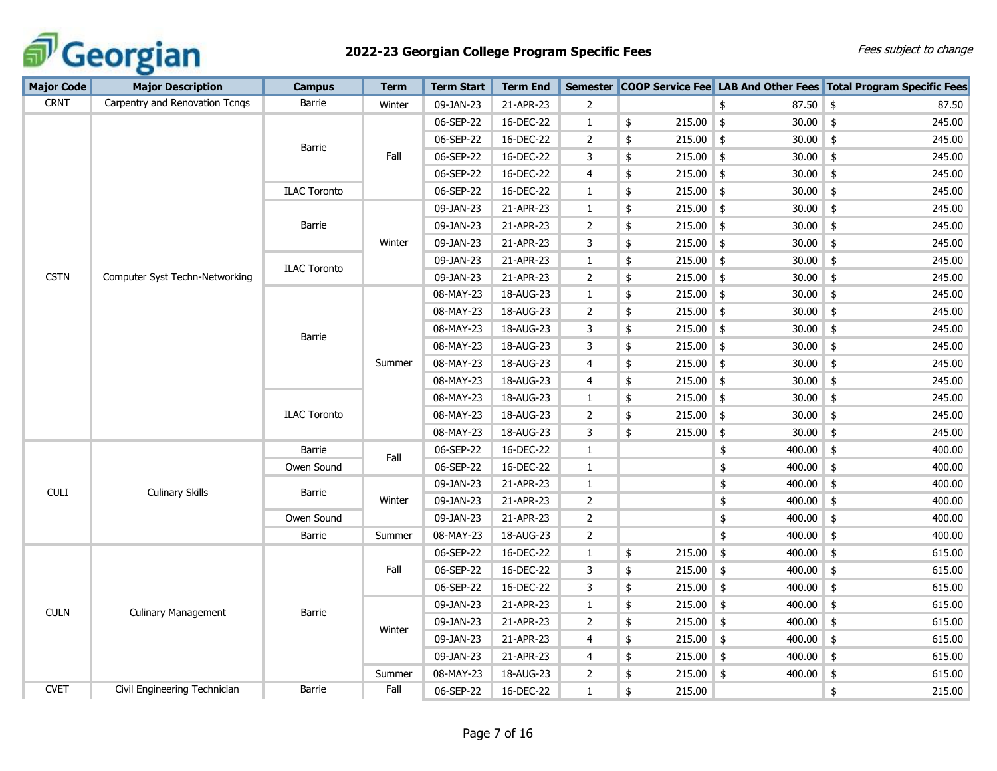

| <b>Major Code</b> | <b>Major Description</b>       | <b>Campus</b>       | <b>Term</b> | <b>Term Start</b> | <b>Term End</b> |                |                   |                              | Semester COOP Service Fee LAB And Other Fees Total Program Specific Fees |
|-------------------|--------------------------------|---------------------|-------------|-------------------|-----------------|----------------|-------------------|------------------------------|--------------------------------------------------------------------------|
| <b>CRNT</b>       | Carpentry and Renovation Tcngs | Barrie              | Winter      | 09-JAN-23         | 21-APR-23       | 2              |                   | $87.50$ \$<br>\$             | 87.50                                                                    |
|                   |                                |                     |             | 06-SEP-22         | 16-DEC-22       | $\mathbf{1}$   | \$<br>$215.00$ \$ | $30.00$ \$                   | 245.00                                                                   |
|                   |                                |                     |             | 06-SEP-22         | 16-DEC-22       | $\mathbf{2}$   | \$<br>$215.00$ \$ | 30.00                        | \$<br>245.00                                                             |
|                   |                                | Barrie              | Fall        | 06-SEP-22         | 16-DEC-22       | 3              | \$<br>$215.00$ \$ | $30.00$ \$                   | 245.00                                                                   |
|                   |                                |                     |             | 06-SEP-22         | 16-DEC-22       | $\overline{4}$ | \$<br>$215.00$ \$ | $30.00$ \$                   | 245.00                                                                   |
|                   |                                | <b>ILAC Toronto</b> |             | 06-SEP-22         | 16-DEC-22       | 1              | \$<br>$215.00$ \$ | $30.00$ \$                   | 245.00                                                                   |
|                   |                                |                     |             | 09-JAN-23         | 21-APR-23       | $\mathbf{1}$   | \$<br>$215.00$ \$ | 30.00                        | $\frac{1}{2}$<br>245.00                                                  |
|                   |                                | Barrie              |             | 09-JAN-23         | 21-APR-23       | $\overline{2}$ | \$<br>$215.00$ \$ | $30.00$ \$                   | 245.00                                                                   |
|                   |                                |                     | Winter      | 09-JAN-23         | 21-APR-23       | 3              | \$<br>$215.00$ \$ | 30.00                        | 245.00<br>$\frac{1}{2}$                                                  |
|                   |                                | <b>ILAC Toronto</b> |             | 09-JAN-23         | 21-APR-23       | $\mathbf{1}$   | \$<br>215.00      | 30.00<br>$\frac{4}{5}$       | \$<br>245.00                                                             |
| <b>CSTN</b>       | Computer Syst Techn-Networking |                     |             | 09-JAN-23         | 21-APR-23       | $\overline{2}$ | \$<br>215.00      | $\frac{1}{2}$<br>30.00       | \$<br>245.00                                                             |
|                   |                                |                     |             | 08-MAY-23         | 18-AUG-23       | $\mathbf{1}$   | \$<br>$215.00$ \$ | 30.00                        | \$<br>245.00                                                             |
|                   |                                |                     |             | 08-MAY-23         | 18-AUG-23       | 2              | \$<br>$215.00$ \$ | 30.00                        | $\frac{1}{2}$<br>245.00                                                  |
|                   |                                |                     |             | 08-MAY-23         | 18-AUG-23       | 3              | \$<br>$215.00$ \$ | 30.00                        | \$<br>245.00                                                             |
|                   |                                | Barrie              |             | 08-MAY-23         | 18-AUG-23       | 3              | \$<br>$215.00$ \$ | 30.00                        | $\frac{1}{2}$<br>245.00                                                  |
|                   |                                |                     | Summer      | 08-MAY-23         | 18-AUG-23       | 4              | \$<br>215.00      | 30.00<br>\$                  | 245.00<br>$\frac{1}{2}$                                                  |
|                   |                                |                     |             | 08-MAY-23         | 18-AUG-23       | $\overline{4}$ | \$<br>$215.00$ \$ | 30.00                        | $\frac{1}{2}$<br>245.00                                                  |
|                   |                                |                     |             | 08-MAY-23         | 18-AUG-23       | $\mathbf{1}$   | \$<br>$215.00$ \$ | $30.00$ \$                   | 245.00                                                                   |
|                   |                                | <b>ILAC Toronto</b> |             | 08-MAY-23         | 18-AUG-23       | 2              | \$<br>$215.00$ \$ | $30.00$ \$                   | 245.00                                                                   |
|                   |                                |                     |             | 08-MAY-23         | 18-AUG-23       | 3              | \$<br>215.00      | \$<br>30.00                  | \$<br>245.00                                                             |
|                   |                                | Barrie              | Fall        | 06-SEP-22         | 16-DEC-22       | $\mathbf{1}$   |                   | \$<br>$400.00$ \$            | 400.00                                                                   |
|                   |                                | Owen Sound          |             | 06-SEP-22         | 16-DEC-22       | $\mathbf{1}$   |                   | \$<br>400.00                 | $\frac{1}{2}$<br>400.00                                                  |
| CULI              | <b>Culinary Skills</b>         | Barrie              |             | 09-JAN-23         | 21-APR-23       | $\mathbf{1}$   |                   | \$<br>400.00                 | $\frac{1}{2}$<br>400.00                                                  |
|                   |                                |                     | Winter      | 09-JAN-23         | 21-APR-23       | $\overline{2}$ |                   | \$<br>400.00                 | $\frac{1}{2}$<br>400.00                                                  |
|                   |                                | Owen Sound          |             | 09-JAN-23         | 21-APR-23       | $\overline{2}$ |                   | \$<br>400.00                 | $\frac{1}{2}$<br>400.00                                                  |
|                   |                                | <b>Barrie</b>       | Summer      | 08-MAY-23         | 18-AUG-23       | $\overline{2}$ |                   | \$<br>$400.00$ \$            | 400.00                                                                   |
|                   |                                |                     |             | 06-SEP-22         | 16-DEC-22       | $\mathbf{1}$   | \$<br>215.00      | $400.00$ \$<br>$\frac{1}{2}$ | 615.00                                                                   |
|                   |                                |                     | Fall        | 06-SEP-22         | 16-DEC-22       | 3              | \$<br>$215.00$ \$ | 400.00                       | 615.00<br>$\frac{1}{2}$                                                  |
|                   |                                |                     |             | 06-SEP-22         | 16-DEC-22       | 3              | \$<br>215.00      | 400.00<br>$\frac{1}{2}$      | $\frac{1}{2}$<br>615.00                                                  |
| <b>CULN</b>       |                                |                     |             | 09-JAN-23         | 21-APR-23       | $\mathbf{1}$   | \$<br>215.00      | 400.00<br>\$                 | \$<br>615.00                                                             |
|                   | <b>Culinary Management</b>     | Barrie              |             | 09-JAN-23         | 21-APR-23       | $\overline{2}$ | \$<br>$215.00$ \$ | $400.00$ \$                  | 615.00                                                                   |
|                   |                                |                     | Winter      | 09-JAN-23         | 21-APR-23       | $\overline{4}$ | \$<br>$215.00$ \$ | $400.00$ \$                  | 615.00                                                                   |
|                   |                                |                     |             | 09-JAN-23         | 21-APR-23       | 4              | \$<br>$215.00$ \$ | 400.00                       | $\frac{1}{2}$<br>615.00                                                  |
|                   |                                |                     | Summer      | 08-MAY-23         | 18-AUG-23       | 2              | \$<br>$215.00$ \$ | 400.00                       | $\frac{1}{2}$<br>615.00                                                  |
| <b>CVET</b>       | Civil Engineering Technician   | <b>Barrie</b>       | Fall        | 06-SEP-22         | 16-DEC-22       | $\mathbf{1}$   | \$<br>215.00      |                              | \$<br>215.00                                                             |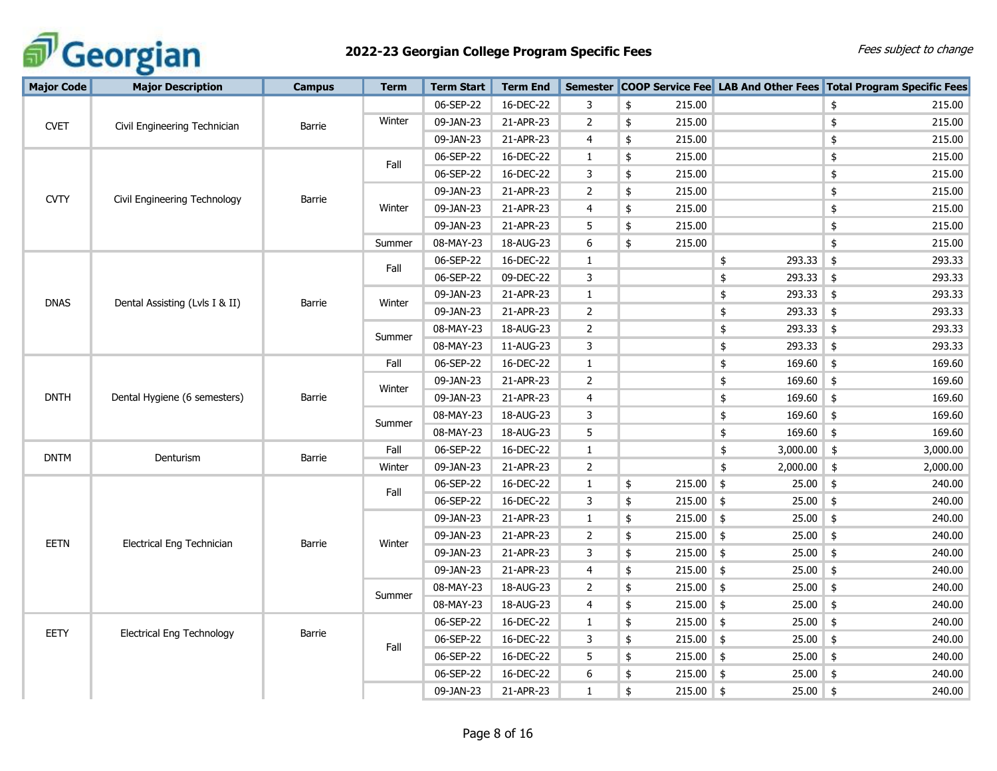

| <b>Major Code</b> | <b>Major Description</b>         | <b>Campus</b> | <b>Term</b> | <b>Term Start</b> | <b>Term End</b> |                |                   |                           | Semester COOP Service Fee LAB And Other Fees Total Program Specific Fees |
|-------------------|----------------------------------|---------------|-------------|-------------------|-----------------|----------------|-------------------|---------------------------|--------------------------------------------------------------------------|
|                   |                                  |               |             | 06-SEP-22         | 16-DEC-22       | 3              | \$<br>215.00      |                           | \$<br>215.00                                                             |
| <b>CVET</b>       | Civil Engineering Technician     | Barrie        | Winter      | 09-JAN-23         | 21-APR-23       | $\overline{2}$ | \$<br>215.00      |                           | 215.00<br>\$                                                             |
|                   |                                  |               |             | 09-JAN-23         | 21-APR-23       | 4              | \$<br>215.00      |                           | 215.00<br>\$                                                             |
|                   |                                  |               | Fall        | 06-SEP-22         | 16-DEC-22       | $\mathbf{1}$   | \$<br>215.00      |                           | 215.00<br>\$                                                             |
|                   |                                  |               |             | 06-SEP-22         | 16-DEC-22       | 3              | \$<br>215.00      |                           | 215.00<br>\$                                                             |
| <b>CVTY</b>       | Civil Engineering Technology     | <b>Barrie</b> |             | 09-JAN-23         | 21-APR-23       | $\overline{2}$ | \$<br>215.00      |                           | \$<br>215.00                                                             |
|                   |                                  |               | Winter      | 09-JAN-23         | 21-APR-23       | 4              | \$<br>215.00      |                           | \$<br>215.00                                                             |
|                   |                                  |               |             | 09-JAN-23         | 21-APR-23       | 5              | \$<br>215.00      |                           | \$<br>215.00                                                             |
|                   |                                  |               | Summer      | 08-MAY-23         | 18-AUG-23       | 6              | \$<br>215.00      |                           | \$<br>215.00                                                             |
|                   |                                  |               | Fall        | 06-SEP-22         | 16-DEC-22       | $\mathbf{1}$   |                   | 293.33<br>\$              | $\frac{1}{2}$<br>293.33                                                  |
|                   |                                  |               |             | 06-SEP-22         | 09-DEC-22       | 3              |                   | 293.33<br>\$              | \$<br>293.33                                                             |
| <b>DNAS</b>       |                                  |               | Winter      | 09-JAN-23         | 21-APR-23       | $\mathbf{1}$   |                   | 293.33<br>\$              | $\frac{1}{2}$<br>293.33                                                  |
|                   | Dental Assisting (Lvls I & II)   | Barrie        |             | 09-JAN-23         | 21-APR-23       | $\overline{2}$ |                   | \$<br>293.33              | $\frac{1}{2}$<br>293.33                                                  |
|                   |                                  |               |             | 08-MAY-23         | 18-AUG-23       | $\overline{2}$ |                   | 293.33<br>\$              | 293.33<br>\$                                                             |
|                   |                                  |               | Summer      | 08-MAY-23         | 11-AUG-23       | 3              |                   | 293.33<br>\$              | 293.33<br>\$                                                             |
|                   |                                  |               | Fall        | 06-SEP-22         | 16-DEC-22       | $\mathbf{1}$   |                   | 169.60<br>\$              | 169.60<br>\$                                                             |
|                   |                                  |               | Winter      | 09-JAN-23         | 21-APR-23       | $\overline{2}$ |                   | $169.60$ \$<br>\$         | 169.60                                                                   |
| <b>DNTH</b>       | Dental Hygiene (6 semesters)     | <b>Barrie</b> |             | 09-JAN-23         | 21-APR-23       | 4              |                   | $169.60$ \$<br>\$         | 169.60                                                                   |
|                   |                                  |               |             | 08-MAY-23         | 18-AUG-23       | 3              |                   | \$<br>$169.60$ \$         | 169.60                                                                   |
|                   |                                  |               | Summer      | 08-MAY-23         | 18-AUG-23       | 5              |                   | \$<br>169.60              | $\frac{1}{2}$<br>169.60                                                  |
| <b>DNTM</b>       | Denturism                        | Barrie        | Fall        | 06-SEP-22         | 16-DEC-22       | $\mathbf{1}$   |                   | 3,000.00<br>$\frac{1}{2}$ | \$<br>3,000.00                                                           |
|                   |                                  |               | Winter      | 09-JAN-23         | 21-APR-23       | $\overline{2}$ |                   | \$<br>2,000.00            | \$<br>2,000.00                                                           |
|                   |                                  |               |             | 06-SEP-22         | 16-DEC-22       | $\mathbf{1}$   | \$<br>215.00      | $\frac{1}{2}$<br>25.00    | \$<br>240.00                                                             |
|                   |                                  |               | Fall        | 06-SEP-22         | 16-DEC-22       | 3              | \$<br>215.00      | 25.00<br>$\frac{1}{2}$    | \$<br>240.00                                                             |
|                   |                                  |               |             | 09-JAN-23         | 21-APR-23       | $\mathbf{1}$   | \$<br>$215.00$ \$ | 25.00                     | \$<br>240.00                                                             |
| EETN              |                                  |               |             | 09-JAN-23         | 21-APR-23       | 2              | \$<br>$215.00$ \$ | $25.00$ \$                | 240.00                                                                   |
|                   | Electrical Eng Technician        | Barrie        | Winter      | 09-JAN-23         | 21-APR-23       | 3              | \$<br>$215.00$ \$ | $25.00$ \$                | 240.00                                                                   |
|                   |                                  |               |             | 09-JAN-23         | 21-APR-23       | 4              | \$<br>$215.00$ \$ | 25.00                     | 240.00<br>$\frac{1}{2}$                                                  |
|                   |                                  |               |             | 08-MAY-23         | 18-AUG-23       | $\overline{2}$ | \$<br>$215.00$ \$ | 25.00                     | 240.00<br>\$                                                             |
|                   |                                  |               | Summer      | 08-MAY-23         | 18-AUG-23       | 4              | \$<br>$215.00$ \$ | $25.00$ \$                | 240.00                                                                   |
|                   |                                  |               |             | 06-SEP-22         | 16-DEC-22       | $\mathbf{1}$   | \$<br>$215.00$ \$ | $25.00$ \$                | 240.00                                                                   |
| EETY              | <b>Electrical Eng Technology</b> | Barrie        |             | 06-SEP-22         | 16-DEC-22       | 3              | \$<br>$215.00$ \$ | 25.00                     | $\frac{1}{2}$<br>240.00                                                  |
|                   |                                  |               | Fall        | 06-SEP-22         | 16-DEC-22       | 5              | \$<br>$215.00$ \$ | 25.00                     | \$<br>240.00                                                             |
|                   |                                  |               |             | 06-SEP-22         | 16-DEC-22       | 6              | \$<br>$215.00$ \$ | 25.00                     | \$<br>240.00                                                             |
|                   |                                  |               |             | 09-JAN-23         | 21-APR-23       | $\mathbf{1}$   | \$<br>$215.00$ \$ | $25.00$ \$                | 240.00                                                                   |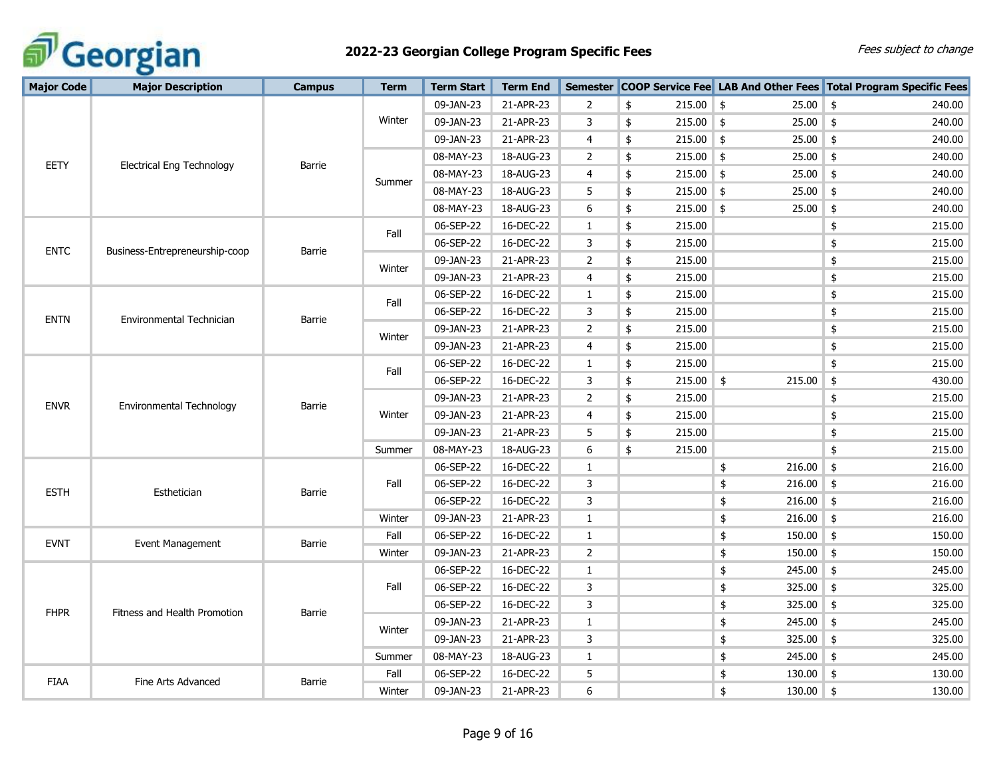

| <b>Major Code</b>                       | <b>Major Description</b>         | <b>Campus</b> | <b>Term</b> | <b>Term Start</b> | <b>Term End</b> | <b>Semester</b>       |                         |              | <b>COOP Service Fee</b> LAB And Other Fees Total Program Specific Fees |
|-----------------------------------------|----------------------------------|---------------|-------------|-------------------|-----------------|-----------------------|-------------------------|--------------|------------------------------------------------------------------------|
|                                         |                                  |               |             | 09-JAN-23         | 21-APR-23       | $\overline{2}$        | \$<br>$215.00$ \$       | 25.00        | \$<br>240.00                                                           |
|                                         |                                  |               | Winter      | 09-JAN-23         | 21-APR-23       | 3                     | \$<br>$215.00$ \$       | 25.00        | \$<br>240.00                                                           |
|                                         |                                  |               |             | 09-JAN-23         | 21-APR-23       | $\overline{4}$        | \$<br>$215.00$ \$       | 25.00        | \$<br>240.00                                                           |
|                                         |                                  |               |             | 08-MAY-23         | 18-AUG-23       | $\mathbf{2}^{\prime}$ | \$<br>$215.00$ \$       | 25.00        | \$<br>240.00                                                           |
| EETY                                    | <b>Electrical Eng Technology</b> | Barrie        |             | 08-MAY-23         | 18-AUG-23       | 4                     | \$<br>$215.00$ \$       | 25.00        | $\frac{1}{2}$<br>240.00                                                |
|                                         |                                  |               | Summer      | 08-MAY-23         | 18-AUG-23       | 5                     | \$<br>$215.00$ \$       | 25.00        | $\frac{1}{2}$<br>240.00                                                |
|                                         |                                  |               |             | 08-MAY-23         | 18-AUG-23       | 6                     | \$<br>$215.00$ \$       | 25.00        | $\frac{1}{2}$<br>240.00                                                |
|                                         |                                  |               | Fall        | 06-SEP-22         | 16-DEC-22       | $\mathbf{1}$          | \$<br>215.00            |              | \$<br>215.00                                                           |
| <b>ENTC</b>                             |                                  | Barrie        |             | 06-SEP-22         | 16-DEC-22       | 3                     | \$<br>215.00            |              | 215.00<br>\$                                                           |
|                                         | Business-Entrepreneurship-coop   |               | Winter      | 09-JAN-23         | 21-APR-23       | $\overline{2}$        | \$<br>215.00            |              | 215.00<br>\$                                                           |
|                                         |                                  |               |             | 09-JAN-23         | 21-APR-23       | 4                     | \$<br>215.00            |              | \$<br>215.00                                                           |
|                                         |                                  |               |             | 06-SEP-22         | 16-DEC-22       | 1                     | \$<br>215.00            |              | \$<br>215.00                                                           |
|                                         |                                  |               | Fall        | 06-SEP-22         | 16-DEC-22       | 3                     | \$<br>215.00            |              | \$<br>215.00                                                           |
| <b>ENTN</b>                             | Environmental Technician         | Barrie        |             | 09-JAN-23         | 21-APR-23       | $\overline{2}$        | \$<br>215.00            |              | 215.00<br>\$                                                           |
|                                         |                                  |               | Winter      | 09-JAN-23         | 21-APR-23       | $\overline{4}$        | \$<br>215.00            |              | 215.00<br>\$                                                           |
|                                         |                                  |               | Fall        | 06-SEP-22         | 16-DEC-22       | $\mathbf{1}$          | \$<br>215.00            |              | \$<br>215.00                                                           |
| Environmental Technology<br><b>ENVR</b> |                                  |               | 06-SEP-22   | 16-DEC-22         | 3               | \$<br>215.00          | $\frac{4}{5}$<br>215.00 | \$<br>430.00 |                                                                        |
|                                         |                                  | <b>Barrie</b> |             | 09-JAN-23         | 21-APR-23       | 2                     | \$<br>215.00            |              | \$<br>215.00                                                           |
|                                         |                                  |               | Winter      | 09-JAN-23         | 21-APR-23       | 4                     | \$<br>215.00            |              | \$<br>215.00                                                           |
|                                         |                                  |               |             | 09-JAN-23         | 21-APR-23       | 5                     | \$<br>215.00            |              | \$<br>215.00                                                           |
|                                         |                                  |               | Summer      | 08-MAY-23         | 18-AUG-23       | 6                     | \$<br>215.00            |              | \$<br>215.00                                                           |
|                                         |                                  |               |             | 06-SEP-22         | 16-DEC-22       | $\mathbf{1}$          |                         | 216.00<br>\$ | \$<br>216.00                                                           |
| <b>ESTH</b>                             | Esthetician                      | Barrie        | Fall        | 06-SEP-22         | 16-DEC-22       | 3                     |                         | 216.00<br>\$ | \$<br>216.00                                                           |
|                                         |                                  |               |             | 06-SEP-22         | 16-DEC-22       | 3                     |                         | \$<br>216.00 | $\frac{1}{2}$<br>216.00                                                |
|                                         |                                  |               | Winter      | 09-JAN-23         | 21-APR-23       | $\mathbf{1}$          |                         | 216.00<br>\$ | 216.00<br>\$                                                           |
| <b>EVNT</b>                             | Event Management                 | Barrie        | Fall        | 06-SEP-22         | 16-DEC-22       | $\mathbf{1}$          |                         | 150.00<br>\$ | $\frac{1}{2}$<br>150.00                                                |
|                                         |                                  |               | Winter      | 09-JAN-23         | 21-APR-23       | $\overline{2}$        |                         | 150.00<br>\$ | \$<br>150.00                                                           |
|                                         |                                  |               |             | 06-SEP-22         | 16-DEC-22       | $\mathbf{1}$          |                         | 245.00<br>\$ | 245.00<br>\$                                                           |
|                                         |                                  |               | Fall        | 06-SEP-22         | 16-DEC-22       | 3                     |                         | 325.00<br>\$ | 325.00<br>\$                                                           |
| <b>FHPR</b>                             | Fitness and Health Promotion     | Barrie        |             | 06-SEP-22         | 16-DEC-22       | 3                     |                         | \$<br>325.00 | $\frac{1}{2}$<br>325.00                                                |
|                                         |                                  |               | Winter      | 09-JAN-23         | 21-APR-23       | $\mathbf{1}$          |                         | \$<br>245.00 | 245.00<br>\$                                                           |
|                                         |                                  |               |             | 09-JAN-23         | 21-APR-23       | 3                     |                         | 325.00<br>\$ | $\frac{1}{2}$<br>325.00                                                |
|                                         |                                  |               | Summer      | 08-MAY-23         | 18-AUG-23       | $\mathbf{1}$          |                         | \$<br>245.00 | \$<br>245.00                                                           |
| <b>FIAA</b>                             | Fine Arts Advanced               | Barrie        | Fall        | 06-SEP-22         | 16-DEC-22       | 5                     |                         | 130.00<br>\$ | \$<br>130.00                                                           |
|                                         |                                  |               | Winter      | 09-JAN-23         | 21-APR-23       | 6                     |                         | \$<br>130.00 | 130.00<br>\$                                                           |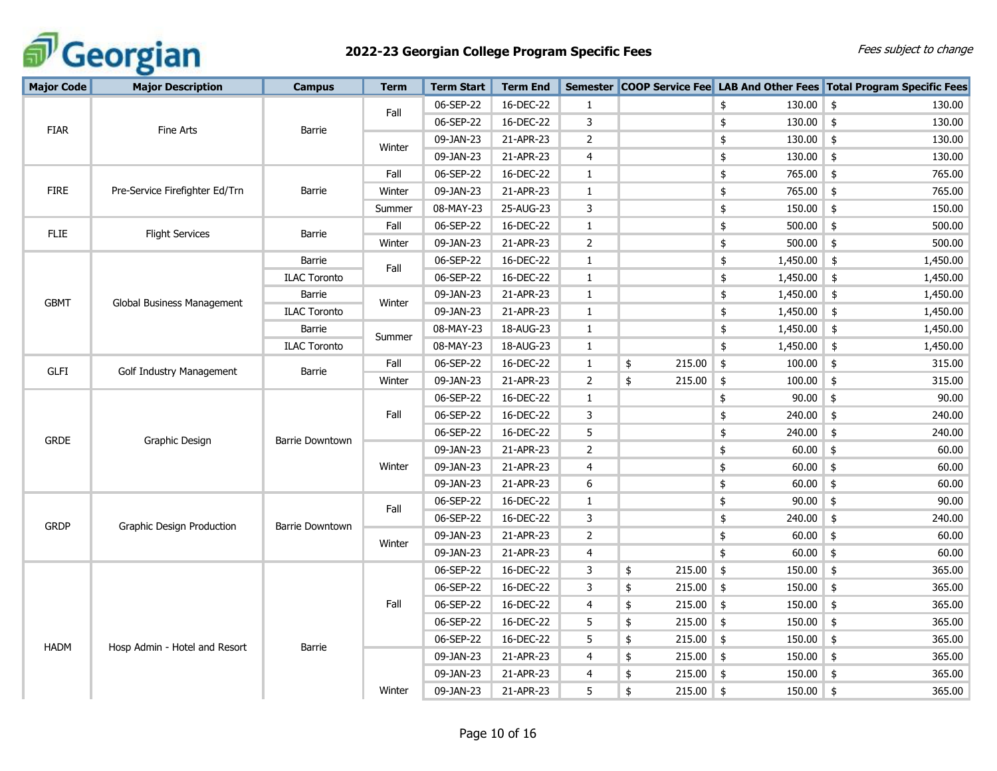

| <b>Major Code</b> | <b>Major Description</b>       | <b>Campus</b>          | <b>Term</b> | <b>Term Start</b> | <b>Term End</b> |                |                   |               |             | Semester COOP Service Fee LAB And Other Fees Total Program Specific Fees |
|-------------------|--------------------------------|------------------------|-------------|-------------------|-----------------|----------------|-------------------|---------------|-------------|--------------------------------------------------------------------------|
|                   |                                |                        |             | 06-SEP-22         | 16-DEC-22       | $\mathbf{1}$   |                   | \$            | $130.00$ \$ | 130.00                                                                   |
|                   |                                |                        | Fall        | 06-SEP-22         | 16-DEC-22       | 3              |                   | \$            | $130.00$ \$ | 130.00                                                                   |
| <b>FIAR</b>       | Fine Arts                      | Barrie                 |             | 09-JAN-23         | 21-APR-23       | $\overline{2}$ |                   | \$            | 130.00      | 130.00<br>$\frac{1}{2}$                                                  |
|                   |                                |                        | Winter      | 09-JAN-23         | 21-APR-23       | $\overline{4}$ |                   | \$            | $130.00$ \$ | 130.00                                                                   |
|                   |                                |                        | Fall        | 06-SEP-22         | 16-DEC-22       | $\mathbf{1}$   |                   | \$            | 765.00 \$   | 765.00                                                                   |
| <b>FIRE</b>       | Pre-Service Firefighter Ed/Trn | Barrie                 | Winter      | 09-JAN-23         | 21-APR-23       | $\mathbf{1}$   |                   | \$            | 765.00 \$   | 765.00                                                                   |
|                   |                                |                        | Summer      | 08-MAY-23         | 25-AUG-23       | 3              |                   | \$            | 150.00      | $\frac{1}{2}$<br>150.00                                                  |
| <b>FLIE</b>       | <b>Flight Services</b>         | <b>Barrie</b>          | Fall        | 06-SEP-22         | 16-DEC-22       | $\mathbf{1}$   |                   | $\pmb{\$}$    | 500.00      | $\frac{1}{2}$<br>500.00                                                  |
|                   |                                |                        | Winter      | 09-JAN-23         | 21-APR-23       | $\overline{2}$ |                   | \$            | 500.00      | 500.00<br>$\frac{1}{2}$                                                  |
|                   |                                | <b>Barrie</b>          | Fall        | 06-SEP-22         | 16-DEC-22       | 1              |                   | \$            | 1,450.00    | $\frac{4}{5}$<br>1,450.00                                                |
|                   |                                | <b>ILAC Toronto</b>    |             | 06-SEP-22         | 16-DEC-22       | $\mathbf{1}$   |                   | \$            | 1,450.00    | $\frac{1}{2}$<br>1,450.00                                                |
| <b>GBMT</b>       |                                | Barrie                 | Winter      | 09-JAN-23         | 21-APR-23       | $\mathbf{1}$   |                   | \$            | 1,450.00    | $\frac{4}{5}$<br>1,450.00                                                |
|                   | Global Business Management     | <b>ILAC Toronto</b>    |             | 09-JAN-23         | 21-APR-23       | $\mathbf{1}$   |                   | \$            | 1,450.00    | $\frac{4}{5}$<br>1,450.00                                                |
|                   |                                | Barrie                 | Summer      | 08-MAY-23         | 18-AUG-23       | $\mathbf{1}$   |                   | \$            | 1,450.00    | $\frac{4}{5}$<br>1,450.00                                                |
|                   |                                | <b>ILAC Toronto</b>    |             | 08-MAY-23         | 18-AUG-23       | 1              |                   | $\pmb{\$}$    | 1,450.00    | $\frac{1}{2}$<br>1,450.00                                                |
| <b>GLFI</b>       | Golf Industry Management       | Barrie                 | Fall        | 06-SEP-22         | 16-DEC-22       | 1              | 215.00<br>\$      | \$            | 100.00      | $\frac{1}{2}$<br>315.00                                                  |
|                   |                                |                        | Winter      | 09-JAN-23         | 21-APR-23       | $\overline{2}$ | \$<br>215.00      | $\frac{1}{2}$ | 100.00      | 315.00<br>$\frac{1}{2}$                                                  |
|                   |                                |                        |             | 06-SEP-22         | 16-DEC-22       | $\mathbf{1}$   |                   | \$            | 90.00       | 90.00<br>\$                                                              |
|                   |                                |                        | Fall        | 06-SEP-22         | 16-DEC-22       | 3              |                   | \$            | $240.00$ \$ | 240.00                                                                   |
| <b>GRDE</b>       | Graphic Design                 | <b>Barrie Downtown</b> |             | 06-SEP-22         | 16-DEC-22       | 5              |                   | \$            | 240.00      | $\frac{1}{2}$<br>240.00                                                  |
|                   |                                |                        |             | 09-JAN-23         | 21-APR-23       | $\overline{2}$ |                   | \$            | $60.00$ \$  | 60.00                                                                    |
|                   |                                |                        | Winter      | 09-JAN-23         | 21-APR-23       | 4              |                   | \$            | $60.00$ \$  | 60.00                                                                    |
|                   |                                |                        |             | 09-JAN-23         | 21-APR-23       | 6              |                   | \$            | $60.00$ \$  | 60.00                                                                    |
|                   |                                |                        | Fall        | 06-SEP-22         | 16-DEC-22       | 1              |                   | \$            | $90.00$ \$  | 90.00                                                                    |
| <b>GRDP</b>       | Graphic Design Production      | Barrie Downtown        |             | 06-SEP-22         | 16-DEC-22       | 3              |                   | \$            | 240.00      | \$<br>240.00                                                             |
|                   |                                |                        | Winter      | 09-JAN-23         | 21-APR-23       | $\overline{2}$ |                   | \$            | 60.00       | $\frac{1}{2}$<br>60.00                                                   |
|                   |                                |                        |             | 09-JAN-23         | 21-APR-23       | 4              |                   | \$            | $60.00$ \$  | 60.00                                                                    |
|                   |                                |                        |             | 06-SEP-22         | 16-DEC-22       | 3              | 215.00<br>\$      | $\frac{1}{2}$ | 150.00      | $\frac{1}{2}$<br>365.00                                                  |
|                   |                                |                        |             | 06-SEP-22         | 16-DEC-22       | 3              | 215.00<br>\$      | $\frac{1}{2}$ | 150.00      | $\frac{1}{2}$<br>365.00                                                  |
|                   |                                |                        | Fall        | 06-SEP-22         | 16-DEC-22       | 4              | \$<br>$215.00$ \$ |               | $150.00$ \$ | 365.00                                                                   |
|                   |                                |                        |             | 06-SEP-22         | 16-DEC-22       | 5              | \$<br>$215.00$ \$ |               | 150.00      | 365.00<br>$\frac{1}{2}$                                                  |
| <b>HADM</b>       | Hosp Admin - Hotel and Resort  | <b>Barrie</b>          |             | 06-SEP-22         | 16-DEC-22       | 5              | \$<br>215.00      | \$            | 150.00      | $\frac{1}{2}$<br>365.00                                                  |
|                   |                                |                        |             | 09-JAN-23         | 21-APR-23       | 4              | \$<br>$215.00$ \$ |               | $150.00$ \$ | 365.00                                                                   |
|                   |                                |                        |             | 09-JAN-23         | 21-APR-23       | $\overline{4}$ | \$<br>215.00      | $\frac{1}{2}$ | 150.00      | $\frac{1}{2}$<br>365.00                                                  |
|                   |                                |                        | Winter      | 09-JAN-23         | 21-APR-23       | 5              | \$<br>$215.00$ \$ |               | $150.00$ \$ | 365.00                                                                   |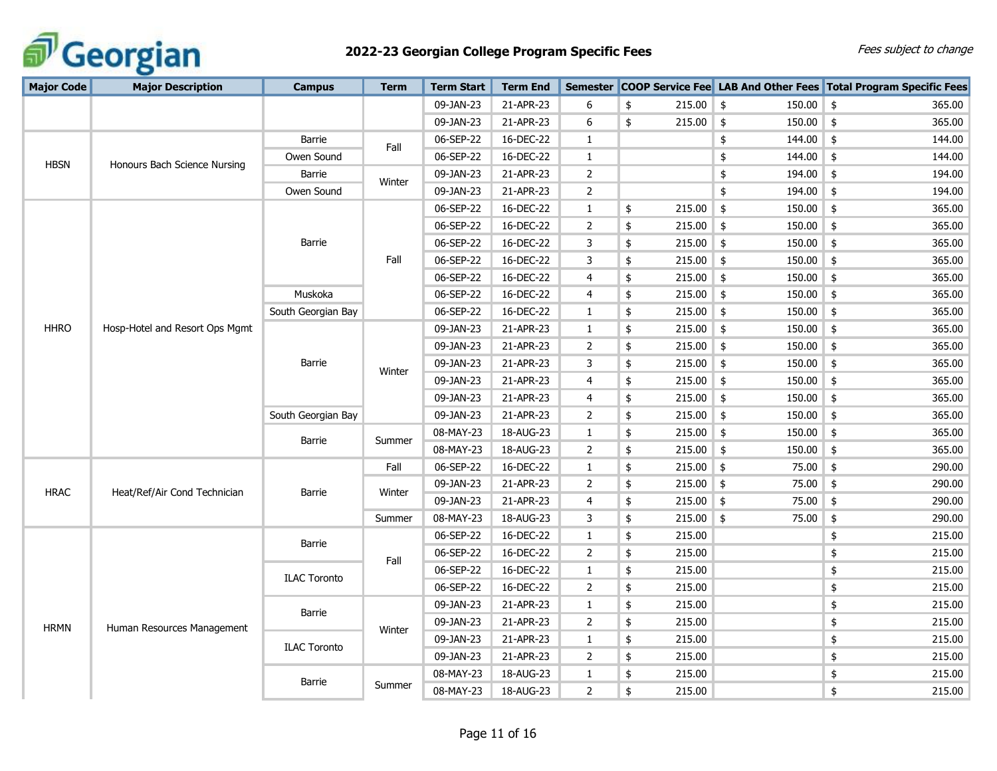

| <b>Major Code</b> | <b>Major Description</b>       | <b>Campus</b>       | <b>Term</b> | <b>Term Start</b> | <b>Term End</b> |                |                   |                              | Semester COOP Service Fee LAB And Other Fees Total Program Specific Fees |
|-------------------|--------------------------------|---------------------|-------------|-------------------|-----------------|----------------|-------------------|------------------------------|--------------------------------------------------------------------------|
|                   |                                |                     |             | 09-JAN-23         | 21-APR-23       | 6              | \$<br>215.00      | $\frac{4}{5}$<br>150.00      | $\frac{1}{2}$<br>365.00                                                  |
|                   |                                |                     |             | 09-JAN-23         | 21-APR-23       | 6              | 215.00<br>\$      | 150.00<br>$\frac{1}{2}$      | $\frac{4}{5}$<br>365.00                                                  |
|                   |                                | Barrie              |             | 06-SEP-22         | 16-DEC-22       | $\mathbf{1}$   |                   | 144.00<br>\$                 | $\frac{1}{2}$<br>144.00                                                  |
| <b>HBSN</b>       | Honours Bach Science Nursing   | Owen Sound          | Fall        | 06-SEP-22         | 16-DEC-22       | $\mathbf{1}$   |                   | \$<br>$144.00$ \$            | 144.00                                                                   |
|                   |                                | Barrie              | Winter      | 09-JAN-23         | 21-APR-23       | $\overline{2}$ |                   | \$<br>194.00                 | \$<br>194.00                                                             |
|                   |                                | Owen Sound          |             | 09-JAN-23         | 21-APR-23       | 2              |                   | \$<br>194.00                 | \$<br>194.00                                                             |
|                   |                                |                     |             | 06-SEP-22         | 16-DEC-22       | $\mathbf{1}$   | 215.00<br>\$      | $\frac{1}{2}$<br>150.00      | \$<br>365.00                                                             |
|                   |                                |                     |             | 06-SEP-22         | 16-DEC-22       | $\overline{2}$ | 215.00<br>\$      | \$<br>150.00                 | \$<br>365.00                                                             |
|                   |                                | Barrie              |             | 06-SEP-22         | 16-DEC-22       | 3              | 215.00<br>\$      | \$<br>150.00                 | \$<br>365.00                                                             |
|                   |                                |                     | Fall        | 06-SEP-22         | 16-DEC-22       | 3              | \$<br>215.00      | 150.00<br>$\frac{1}{2}$      | \$<br>365.00                                                             |
|                   |                                |                     |             | 06-SEP-22         | 16-DEC-22       | 4              | \$<br>215.00      | 150.00<br>$\frac{1}{2}$      | \$<br>365.00                                                             |
|                   |                                | Muskoka             |             | 06-SEP-22         | 16-DEC-22       | 4              | \$<br>215.00      | \$<br>150.00                 | \$<br>365.00                                                             |
|                   |                                | South Georgian Bay  |             | 06-SEP-22         | 16-DEC-22       | $\mathbf{1}$   | \$<br>215.00      | $\vert$ \$<br>150.00         | \$<br>365.00                                                             |
| <b>HHRO</b>       | Hosp-Hotel and Resort Ops Mgmt |                     |             | 09-JAN-23         | 21-APR-23       | $\mathbf{1}$   | 215.00<br>\$      | 150.00<br>\$                 | 365.00<br>\$                                                             |
|                   |                                |                     |             | 09-JAN-23         | 21-APR-23       | $\overline{2}$ | 215.00<br>\$      | 150.00<br>\$                 | 365.00<br>\$                                                             |
|                   |                                | Barrie              | Winter      | 09-JAN-23         | 21-APR-23       | 3              | 215.00<br>\$      | $150.00$ \$<br>$\frac{4}{5}$ | 365.00                                                                   |
|                   |                                |                     |             | 09-JAN-23         | 21-APR-23       | 4              | \$<br>215.00      | $\frac{1}{2}$<br>$150.00$ \$ | 365.00                                                                   |
|                   |                                |                     |             | 09-JAN-23         | 21-APR-23       | 4              | \$<br>215.00      | \$<br>150.00                 | \$<br>365.00                                                             |
|                   |                                | South Georgian Bay  |             | 09-JAN-23         | 21-APR-23       | $\overline{2}$ | \$<br>215.00      | 150.00<br>$\vert$ \$         | $\frac{1}{2}$<br>365.00                                                  |
|                   |                                | Barrie              | Summer      | 08-MAY-23         | 18-AUG-23       | $\mathbf{1}$   | 215.00<br>\$      | 150.00<br>$\frac{1}{2}$      | \$<br>365.00                                                             |
|                   |                                |                     |             | 08-MAY-23         | 18-AUG-23       | $\overline{2}$ | \$<br>215.00      | \$<br>150.00                 | \$<br>365.00                                                             |
|                   |                                |                     | Fall        | 06-SEP-22         | 16-DEC-22       | $\mathbf{1}$   | \$<br>215.00      | $\frac{1}{2}$<br>75.00       | $\frac{1}{2}$<br>290.00                                                  |
| <b>HRAC</b>       | Heat/Ref/Air Cond Technician   | Barrie              | Winter      | 09-JAN-23         | 21-APR-23       | $\overline{2}$ | \$<br>$215.00$ \$ | 75.00                        | \$<br>290.00                                                             |
|                   |                                |                     |             | 09-JAN-23         | 21-APR-23       | 4              | \$<br>$215.00$ \$ | 75.00                        | \$<br>290.00                                                             |
|                   |                                |                     | Summer      | 08-MAY-23         | 18-AUG-23       | 3              | \$<br>$215.00$ \$ | 75.00                        | \$<br>290.00                                                             |
|                   |                                | Barrie              |             | 06-SEP-22         | 16-DEC-22       | $\mathbf{1}$   | 215.00<br>\$      |                              | \$<br>215.00                                                             |
|                   |                                |                     | Fall        | 06-SEP-22         | 16-DEC-22       | $\overline{2}$ | 215.00<br>\$      |                              | \$<br>215.00                                                             |
|                   |                                | <b>ILAC Toronto</b> |             | 06-SEP-22         | 16-DEC-22       | $\mathbf{1}$   | \$<br>215.00      |                              | \$<br>215.00                                                             |
|                   |                                |                     |             | 06-SEP-22         | 16-DEC-22       | $\overline{2}$ | \$<br>215.00      |                              | 215.00<br>\$                                                             |
|                   |                                |                     |             | 09-JAN-23         | 21-APR-23       | $\mathbf{1}$   | \$<br>215.00      |                              | \$<br>215.00                                                             |
| <b>HRMN</b>       | Human Resources Management     | Barrie              | Winter      | 09-JAN-23         | 21-APR-23       | $\overline{2}$ | \$<br>215.00      |                              | \$<br>215.00                                                             |
|                   |                                | <b>ILAC Toronto</b> |             | 09-JAN-23         | 21-APR-23       | $\mathbf{1}$   | \$<br>215.00      |                              | \$<br>215.00                                                             |
|                   |                                |                     |             | 09-JAN-23         | 21-APR-23       | $\overline{2}$ | \$<br>215.00      |                              | \$<br>215.00                                                             |
|                   |                                | Barrie              |             | 08-MAY-23         | 18-AUG-23       | $\mathbf{1}$   | \$<br>215.00      |                              | \$<br>215.00                                                             |
|                   |                                |                     | Summer      | 08-MAY-23         | 18-AUG-23       | $\overline{2}$ | \$<br>215.00      |                              | \$<br>215.00                                                             |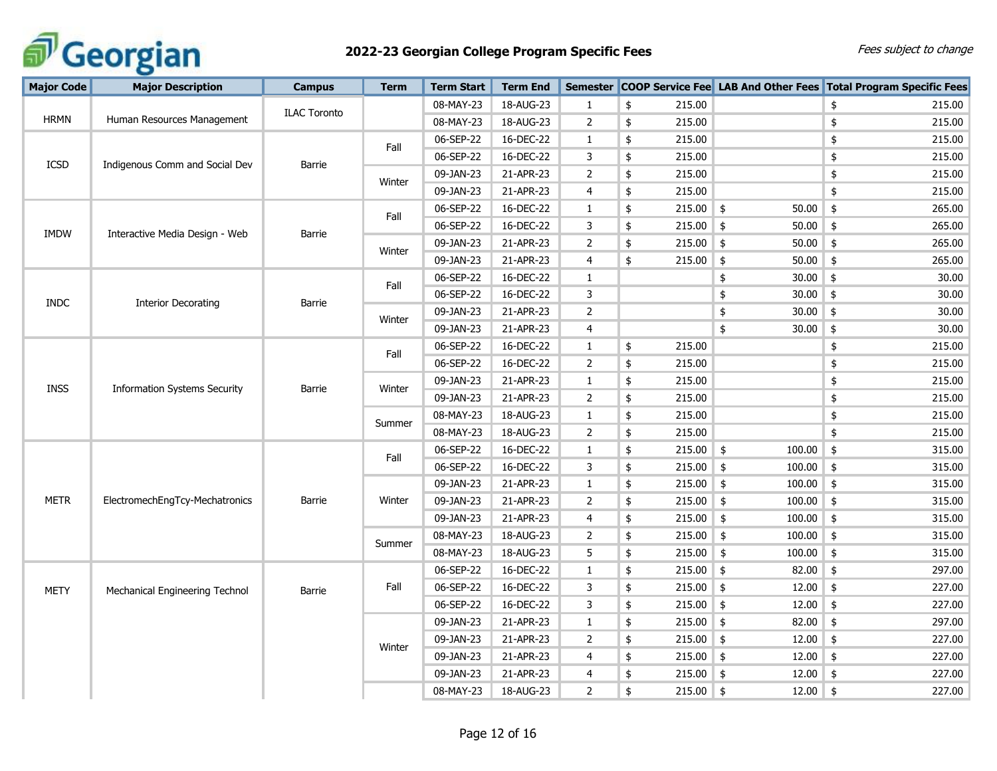

| <b>Major Code</b> | <b>Major Description</b>            | <b>Campus</b>       | <b>Term</b> | <b>Term Start</b> | <b>Term End</b> | <b>Semester</b> |                   |                         | <b>COOP Service Fee LAB And Other Fees Total Program Specific Fees</b> |
|-------------------|-------------------------------------|---------------------|-------------|-------------------|-----------------|-----------------|-------------------|-------------------------|------------------------------------------------------------------------|
|                   |                                     | <b>ILAC Toronto</b> |             | 08-MAY-23         | 18-AUG-23       | $\mathbf{1}$    | \$<br>215.00      |                         | 215.00<br>\$                                                           |
| <b>HRMN</b>       | Human Resources Management          |                     |             | 08-MAY-23         | 18-AUG-23       | $\overline{2}$  | \$<br>215.00      |                         | 215.00<br>\$                                                           |
|                   |                                     |                     |             | 06-SEP-22         | 16-DEC-22       | $\mathbf{1}$    | \$<br>215.00      |                         | \$<br>215.00                                                           |
| ICSD              | Indigenous Comm and Social Dev      | Barrie              | Fall        | 06-SEP-22         | 16-DEC-22       | 3               | \$<br>215.00      |                         | \$<br>215.00                                                           |
|                   |                                     |                     | Winter      | 09-JAN-23         | 21-APR-23       | $\overline{2}$  | \$<br>215.00      |                         | 215.00<br>\$                                                           |
|                   |                                     |                     |             | 09-JAN-23         | 21-APR-23       | 4               | \$<br>215.00      |                         | \$<br>215.00                                                           |
|                   |                                     |                     | Fall        | 06-SEP-22         | 16-DEC-22       | $\mathbf{1}$    | 215.00<br>\$      | 50.00<br>$\frac{4}{5}$  | $\frac{1}{2}$<br>265.00                                                |
| <b>IMDW</b>       | Interactive Media Design - Web      | Barrie              |             | 06-SEP-22         | 16-DEC-22       | 3               | \$<br>215.00      | 50.00<br>$\frac{4}{5}$  | $\frac{1}{2}$<br>265.00                                                |
|                   |                                     |                     | Winter      | 09-JAN-23         | 21-APR-23       | $\overline{2}$  | \$<br>215.00      | $\frac{4}{5}$<br>50.00  | \$<br>265.00                                                           |
|                   |                                     |                     |             | 09-JAN-23         | 21-APR-23       | 4               | $215.00$ \$<br>\$ | 50.00                   | $\frac{1}{2}$<br>265.00                                                |
|                   |                                     |                     | Fall        | 06-SEP-22         | 16-DEC-22       | $\mathbf{1}$    |                   | $30.00$ \$<br>\$        | 30.00                                                                  |
| <b>INDC</b>       | <b>Interior Decorating</b>          | Barrie              |             | 06-SEP-22         | 16-DEC-22       | 3               |                   | \$<br>$30.00$ \$        | 30.00                                                                  |
|                   |                                     |                     | Winter      | 09-JAN-23         | 21-APR-23       | $\overline{2}$  |                   | $30.00$ \$<br>\$        | 30.00                                                                  |
|                   |                                     |                     |             | 09-JAN-23         | 21-APR-23       | $\overline{4}$  |                   | \$<br>30.00             | 30.00<br>\$                                                            |
|                   |                                     |                     | Fall        | 06-SEP-22         | 16-DEC-22       | $\mathbf{1}$    | 215.00<br>\$      |                         | 215.00<br>\$                                                           |
|                   |                                     |                     |             | 06-SEP-22         | 16-DEC-22       | $\overline{2}$  | 215.00<br>\$      |                         | \$<br>215.00                                                           |
| <b>INSS</b>       | <b>Information Systems Security</b> | <b>Barrie</b>       | Winter      | 09-JAN-23         | 21-APR-23       | $\mathbf{1}$    | \$<br>215.00      |                         | 215.00<br>\$                                                           |
|                   |                                     |                     |             | 09-JAN-23         | 21-APR-23       | $\overline{2}$  | \$<br>215.00      |                         | \$<br>215.00                                                           |
|                   |                                     |                     | Summer      | 08-MAY-23         | 18-AUG-23       | $\mathbf{1}$    | \$<br>215.00      |                         | $\pmb{\$}$<br>215.00                                                   |
|                   |                                     |                     |             | 08-MAY-23         | 18-AUG-23       | $\overline{2}$  | \$<br>215.00      |                         | \$<br>215.00                                                           |
|                   |                                     |                     | Fall        | 06-SEP-22         | 16-DEC-22       | 1               | \$<br>$215.00$ \$ | 100.00                  | $\boldsymbol{\mathsf{\$}}$<br>315.00                                   |
|                   |                                     |                     |             | 06-SEP-22         | 16-DEC-22       | 3               | 215.00<br>\$      | $\frac{1}{2}$<br>100.00 | $\frac{1}{2}$<br>315.00                                                |
|                   |                                     |                     |             | 09-JAN-23         | 21-APR-23       | $\mathbf{1}$    | \$<br>215.00      | $\frac{1}{2}$<br>100.00 | $\frac{1}{2}$<br>315.00                                                |
| <b>METR</b>       | ElectromechEngTcy-Mechatronics      | Barrie              | Winter      | 09-JAN-23         | 21-APR-23       | $\overline{2}$  | \$<br>215.00      | $\frac{1}{2}$<br>100.00 | $\frac{1}{2}$<br>315.00                                                |
|                   |                                     |                     |             | 09-JAN-23         | 21-APR-23       | 4               | \$<br>$215.00$ \$ | 100.00                  | $\frac{1}{2}$<br>315.00                                                |
|                   |                                     |                     | Summer      | 08-MAY-23         | 18-AUG-23       | $\overline{2}$  | \$<br>$215.00$ \$ | $100.00$ \$             | 315.00                                                                 |
|                   |                                     |                     |             | 08-MAY-23         | 18-AUG-23       | 5               | \$<br>$215.00$ \$ | $100.00$ \$             | 315.00                                                                 |
|                   |                                     |                     |             | 06-SEP-22         | 16-DEC-22       | $\mathbf{1}$    | \$<br>$215.00$ \$ | $82.00$ \$              | 297.00                                                                 |
| <b>METY</b>       | Mechanical Engineering Technol      | Barrie              | Fall        | 06-SEP-22         | 16-DEC-22       | 3               | \$<br>$215.00$ \$ | 12.00                   | $\frac{1}{2}$<br>227.00                                                |
|                   |                                     |                     |             | 06-SEP-22         | 16-DEC-22       | 3               | \$<br>$215.00$ \$ | 12.00                   | $\frac{1}{2}$<br>227.00                                                |
|                   |                                     |                     |             | 09-JAN-23         | 21-APR-23       | $\mathbf{1}$    | \$<br>$215.00$ \$ | $82.00$ \$              | 297.00                                                                 |
|                   |                                     |                     | Winter      | 09-JAN-23         | 21-APR-23       | $\overline{2}$  | \$<br>$215.00$ \$ | 12.00                   | $\frac{1}{2}$<br>227.00                                                |
|                   |                                     |                     |             | 09-JAN-23         | 21-APR-23       | $\overline{4}$  | \$<br>$215.00$ \$ | $12.00$ \$              | 227.00                                                                 |
|                   |                                     |                     |             | 09-JAN-23         | 21-APR-23       | $\overline{4}$  | \$<br>$215.00$ \$ | $12.00$ \$              | 227.00                                                                 |
|                   |                                     |                     |             | 08-MAY-23         | 18-AUG-23       | $\overline{2}$  | \$<br>$215.00$ \$ | $12.00$ \$              | 227.00                                                                 |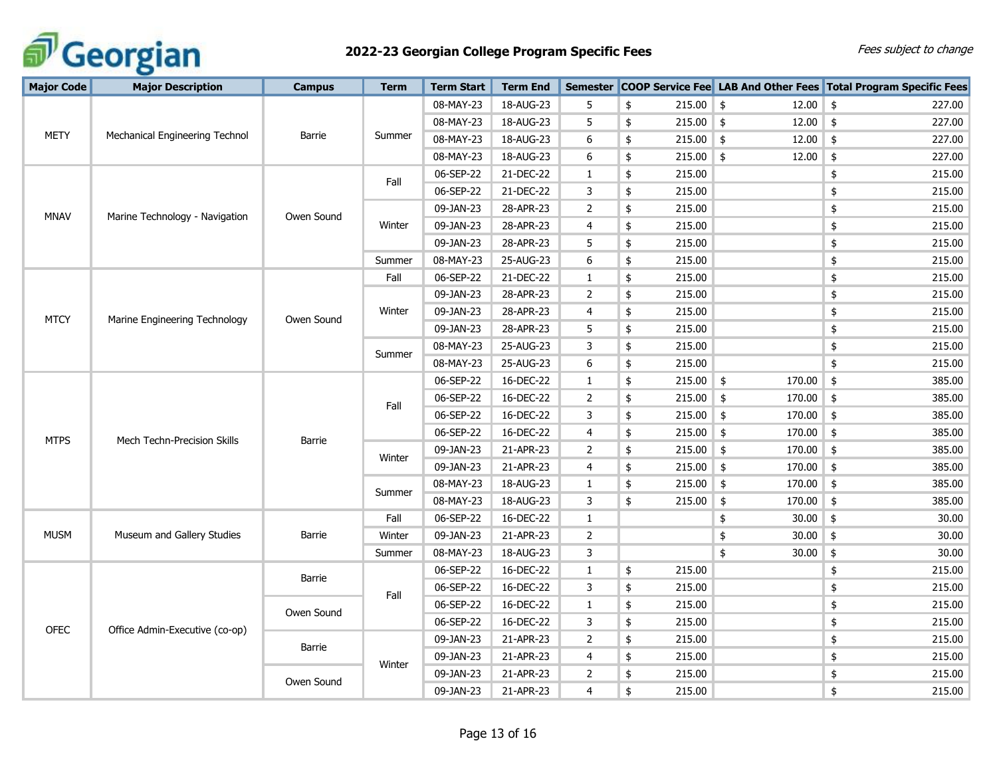

| <b>Major Code</b> | <b>Major Description</b>       | <b>Campus</b> | <b>Term</b> | <b>Term Start</b>                           | <b>Term End</b> |                |              |             |                              | Semester COOP Service Fee LAB And Other Fees Total Program Specific Fees                                                                                                                                          |
|-------------------|--------------------------------|---------------|-------------|---------------------------------------------|-----------------|----------------|--------------|-------------|------------------------------|-------------------------------------------------------------------------------------------------------------------------------------------------------------------------------------------------------------------|
| METY              | Mechanical Engineering Technol |               |             | 08-MAY-23                                   | 18-AUG-23       | 5              | \$           | $215.00$ \$ | $12.00$ \$                   | 227.00                                                                                                                                                                                                            |
|                   |                                | Barrie        |             | 08-MAY-23                                   | 18-AUG-23       | 5              | \$           | $215.00$ \$ | $12.00$ \$                   | 227.00                                                                                                                                                                                                            |
|                   |                                |               | Summer      | 08-MAY-23                                   | 18-AUG-23       | 6              | \$           | $215.00$ \$ | 12.00                        | \$<br>227.00                                                                                                                                                                                                      |
|                   |                                |               |             | 08-MAY-23                                   | 18-AUG-23       | 6              | \$           | $215.00$ \$ | $12.00$ \$                   | 227.00                                                                                                                                                                                                            |
|                   | Marine Technology - Navigation |               |             | 06-SEP-22                                   | 21-DEC-22       | $\mathbf{1}$   | \$           | 215.00      |                              | \$<br>215.00                                                                                                                                                                                                      |
|                   |                                |               | Fall        | 06-SEP-22                                   | 21-DEC-22       | 3              | \$           | 215.00      |                              | \$<br>215.00                                                                                                                                                                                                      |
|                   |                                | Owen Sound    |             | 09-JAN-23                                   | 28-APR-23       | $\overline{2}$ | \$           | 215.00      | $\frac{1}{2}$                | 215.00                                                                                                                                                                                                            |
| <b>MNAV</b>       |                                |               | Winter      | 09-JAN-23<br>28-APR-23<br>4<br>\$<br>215.00 |                 |                | \$<br>215.00 |             |                              |                                                                                                                                                                                                                   |
|                   |                                |               |             | 09-JAN-23                                   | 28-APR-23       | 5              | \$           | 215.00      |                              | $\pmb{\$}$<br>215.00                                                                                                                                                                                              |
|                   |                                |               | Summer      | 08-MAY-23                                   | 25-AUG-23       | 6              | \$           | 215.00      |                              | \$<br>215.00                                                                                                                                                                                                      |
|                   |                                |               | Fall        | 06-SEP-22                                   | 21-DEC-22       | $\mathbf{1}$   | \$           | 215.00      |                              | $\pmb{\$}$<br>215.00                                                                                                                                                                                              |
|                   |                                |               |             | 09-JAN-23                                   | 28-APR-23       | $\overline{2}$ | \$           | 215.00      |                              | $\pmb{\$}$<br>215.00                                                                                                                                                                                              |
| <b>MTCY</b>       |                                |               | Winter      | 09-JAN-23                                   | 28-APR-23       | 4              | \$           | 215.00      |                              | $\pmb{\$}$<br>215.00                                                                                                                                                                                              |
|                   | Marine Engineering Technology  | Owen Sound    |             | 09-JAN-23                                   | 28-APR-23       | 5              | \$           | 215.00      |                              | \$<br>215.00                                                                                                                                                                                                      |
|                   |                                |               | Summer      | 08-MAY-23                                   | 25-AUG-23       | 3              | \$           | 215.00      |                              | 215.00<br>\$                                                                                                                                                                                                      |
|                   |                                |               |             | 08-MAY-23                                   | 25-AUG-23       | 6              | \$           | 215.00      |                              | \$<br>215.00                                                                                                                                                                                                      |
|                   | Mech Techn-Precision Skills    |               |             | 06-SEP-22                                   | 16-DEC-22       | $\mathbf{1}$   | \$           | $215.00$ \$ | $170.00$ \$                  | 385.00                                                                                                                                                                                                            |
|                   |                                |               | Fall        | 06-SEP-22                                   | 16-DEC-22       | $\overline{2}$ | \$           | 215.00      | $170.00$ \$<br>$\frac{1}{2}$ | 385.00                                                                                                                                                                                                            |
|                   |                                |               |             | 06-SEP-22                                   | 16-DEC-22       | 3              | \$           | 215.00      | $\frac{1}{2}$<br>170.00 \$   | 385.00                                                                                                                                                                                                            |
| <b>MTPS</b>       |                                | Barrie        |             | 06-SEP-22                                   | 16-DEC-22       | 4              | \$           | 215.00      | $\frac{1}{2}$<br>170.00      | $\frac{1}{2}$<br>385.00                                                                                                                                                                                           |
|                   |                                |               | Winter      | 09-JAN-23                                   | 21-APR-23       | $\overline{2}$ | \$           | 215.00      | $\frac{1}{2}$<br>$170.00$ \$ | 385.00<br>\$<br>385.00<br>\$<br>385.00<br>\$<br>385.00<br>30.00<br>30.00<br>30.00<br>215.00<br>\$<br>\$<br>215.00<br>215.00<br>\$<br>215.00<br>\$<br>\$<br>215.00<br>\$<br>215.00<br>\$<br>215.00<br>\$<br>215.00 |
|                   |                                |               |             | 09-JAN-23                                   | 21-APR-23       | 4              | \$           | 215.00      | $\frac{1}{2}$<br>170.00      |                                                                                                                                                                                                                   |
|                   |                                |               | Summer      | 08-MAY-23                                   | 18-AUG-23       | $\mathbf{1}$   | \$           | 215.00      | $\frac{1}{2}$<br>170.00      |                                                                                                                                                                                                                   |
|                   |                                |               |             | 08-MAY-23                                   | 18-AUG-23       | 3              | \$           | 215.00      | $\frac{1}{2}$<br>170.00      |                                                                                                                                                                                                                   |
|                   |                                | Barrie        | Fall        | 06-SEP-22                                   | 16-DEC-22       | $\mathbf{1}$   |              |             | $30.00$ \$<br>\$             |                                                                                                                                                                                                                   |
| <b>MUSM</b>       | Museum and Gallery Studies     |               | Winter      | 09-JAN-23                                   | 21-APR-23       | $\overline{2}$ |              |             | $30.00$ \$<br>\$             |                                                                                                                                                                                                                   |
|                   |                                |               | Summer      | 08-MAY-23                                   | 18-AUG-23       | 3              |              |             | \$<br>$30.00$ \$             |                                                                                                                                                                                                                   |
| <b>OFEC</b>       | Office Admin-Executive (co-op) | Barrie        | Fall        | 06-SEP-22                                   | 16-DEC-22       | 1              | \$           | 215.00      |                              |                                                                                                                                                                                                                   |
|                   |                                |               |             | 06-SEP-22                                   | 16-DEC-22       | 3              | \$           | 215.00      |                              |                                                                                                                                                                                                                   |
|                   |                                | Owen Sound    |             | 06-SEP-22                                   | 16-DEC-22       | $\mathbf{1}$   | \$           | 215.00      |                              |                                                                                                                                                                                                                   |
|                   |                                |               |             | 06-SEP-22                                   | 16-DEC-22       | 3              | \$           | 215.00      |                              |                                                                                                                                                                                                                   |
|                   |                                | Barrie        |             | 09-JAN-23                                   | 21-APR-23       | $\overline{2}$ | \$           | 215.00      |                              |                                                                                                                                                                                                                   |
|                   |                                |               | Winter      | 09-JAN-23                                   | 21-APR-23       | 4              | \$           | 215.00      |                              |                                                                                                                                                                                                                   |
|                   |                                | Owen Sound    |             | 09-JAN-23                                   | 21-APR-23       | $\overline{2}$ | \$           | 215.00      |                              |                                                                                                                                                                                                                   |
|                   |                                |               |             | 09-JAN-23                                   | 21-APR-23       | 4              | \$           | 215.00      |                              |                                                                                                                                                                                                                   |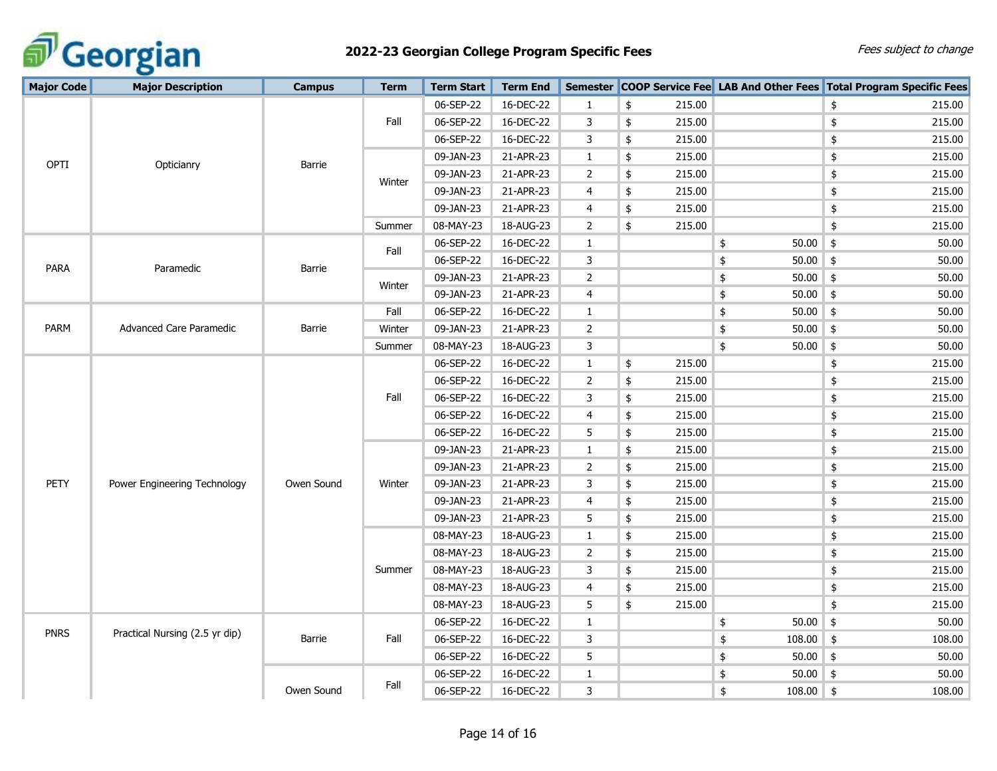

| <b>Major Code</b> | <b>Major Description</b>       | <b>Campus</b> | <b>Term</b> | <b>Term Start</b> | <b>Term End</b> |                |              |                   | Semester COOP Service Fee LAB And Other Fees Total Program Specific Fees |  |
|-------------------|--------------------------------|---------------|-------------|-------------------|-----------------|----------------|--------------|-------------------|--------------------------------------------------------------------------|--|
|                   | Opticianry                     |               |             | 06-SEP-22         | 16-DEC-22       | $\mathbf{1}$   | \$<br>215.00 |                   | \$<br>215.00                                                             |  |
|                   |                                | Barrie        | Fall        | 06-SEP-22         | 16-DEC-22       | 3              | 215.00<br>\$ |                   | 215.00<br>\$                                                             |  |
|                   |                                |               |             | 06-SEP-22         | 16-DEC-22       | 3              | 215.00<br>\$ |                   | 215.00<br>\$                                                             |  |
|                   |                                |               |             | 09-JAN-23         | 21-APR-23       | $\mathbf{1}$   | \$<br>215.00 |                   | 215.00<br>\$                                                             |  |
| OPTI              |                                |               | Winter      | 09-JAN-23         | 21-APR-23       | $\mathbf{2}$   | \$<br>215.00 |                   | \$<br>215.00                                                             |  |
|                   |                                |               |             | 09-JAN-23         | 21-APR-23       | 4              | \$<br>215.00 |                   | \$<br>215.00                                                             |  |
|                   |                                |               |             | 09-JAN-23         | 21-APR-23       | 4              | 215.00<br>\$ |                   | \$<br>215.00                                                             |  |
|                   |                                |               | Summer      | 08-MAY-23         | 18-AUG-23       | $\overline{2}$ | \$<br>215.00 |                   | \$<br>215.00                                                             |  |
|                   |                                |               | Fall        | 06-SEP-22         | 16-DEC-22       | $\mathbf{1}$   |              | 50.00<br>\$       | \$<br>50.00                                                              |  |
| <b>PARA</b>       | Paramedic                      |               |             | 06-SEP-22         | 16-DEC-22       | 3              |              | $50.00$ \$<br>\$  | 50.00                                                                    |  |
|                   |                                | Barrie        |             | 09-JAN-23         | 21-APR-23       | $\overline{2}$ |              | $50.00$ \$<br>\$  | 50.00                                                                    |  |
|                   |                                |               | Winter      | 09-JAN-23         | 21-APR-23       | 4              |              | $50.00$ \$<br>\$  | 50.00                                                                    |  |
|                   |                                | Barrie        | Fall        | 06-SEP-22         | 16-DEC-22       | $\mathbf{1}$   |              | \$<br>$50.00$ \$  | 50.00                                                                    |  |
| <b>PARM</b>       | Advanced Care Paramedic        |               | Winter      | 09-JAN-23         | 21-APR-23       | $\overline{2}$ |              | $50.00$ \$<br>\$  | 50.00                                                                    |  |
|                   |                                |               | Summer      | 08-MAY-23         | 18-AUG-23       | 3              |              | 50.00<br>\$       | 50.00<br>\$                                                              |  |
|                   |                                |               | Fall        | 06-SEP-22         | 16-DEC-22       | $\mathbf{1}$   | 215.00<br>\$ |                   | \$<br>215.00                                                             |  |
|                   |                                |               |             | 06-SEP-22         | 16-DEC-22       | $\overline{2}$ | \$<br>215.00 |                   | \$<br>215.00                                                             |  |
|                   |                                |               |             | 06-SEP-22         | 16-DEC-22       | 3              | \$<br>215.00 |                   | \$<br>215.00                                                             |  |
|                   |                                |               |             | 06-SEP-22         | 16-DEC-22       | 4              | \$<br>215.00 |                   | 215.00<br>\$                                                             |  |
|                   |                                |               |             | 06-SEP-22         | 16-DEC-22       | 5              | 215.00<br>\$ |                   | \$<br>215.00                                                             |  |
|                   |                                | Owen Sound    | Winter      | 09-JAN-23         | 21-APR-23       | $\mathbf{1}$   | \$<br>215.00 |                   | \$<br>215.00                                                             |  |
|                   | Power Engineering Technology   |               |             | 09-JAN-23         | 21-APR-23       | $\overline{2}$ | \$<br>215.00 |                   | \$<br>215.00                                                             |  |
| PETY              |                                |               |             | 09-JAN-23         | 21-APR-23       | 3              | 215.00<br>\$ |                   | \$<br>215.00                                                             |  |
|                   |                                |               |             | 09-JAN-23         | 21-APR-23       | 4              | \$<br>215.00 |                   | \$<br>215.00                                                             |  |
|                   |                                |               |             | 09-JAN-23         | 21-APR-23       | 5              | \$<br>215.00 |                   | \$<br>215.00                                                             |  |
|                   |                                |               | Summer      | 08-MAY-23         | 18-AUG-23       | $\mathbf{1}$   | \$<br>215.00 |                   | 215.00<br>\$                                                             |  |
|                   |                                |               |             | 08-MAY-23         | 18-AUG-23       | $\overline{2}$ | 215.00<br>\$ |                   | 215.00<br>\$                                                             |  |
|                   |                                |               |             | 08-MAY-23         | 18-AUG-23       | 3              | \$<br>215.00 |                   | \$<br>215.00                                                             |  |
|                   |                                |               |             | 08-MAY-23         | 18-AUG-23       | 4              | \$<br>215.00 |                   | \$<br>215.00                                                             |  |
|                   |                                |               |             | 08-MAY-23         | 18-AUG-23       | 5              | \$<br>215.00 |                   | \$<br>215.00                                                             |  |
| <b>PNRS</b>       | Practical Nursing (2.5 yr dip) | Barrie        | Fall        | 06-SEP-22         | 16-DEC-22       | $\mathbf{1}$   |              | $50.00$ \$<br>\$  | 50.00                                                                    |  |
|                   |                                |               |             | 06-SEP-22         | 16-DEC-22       | 3              |              | 108.00<br>\$      | \$<br>108.00                                                             |  |
|                   |                                |               |             | 06-SEP-22         | 16-DEC-22       | 5              |              | $50.00$ \$<br>\$  | 50.00                                                                    |  |
|                   |                                |               |             | 06-SEP-22         | 16-DEC-22       | $\mathbf{1}$   |              | $50.00$ \$<br>\$  | 50.00                                                                    |  |
|                   |                                | Owen Sound    | Fall        | 06-SEP-22         | 16-DEC-22       | 3              |              | \$<br>$108.00$ \$ | 108.00                                                                   |  |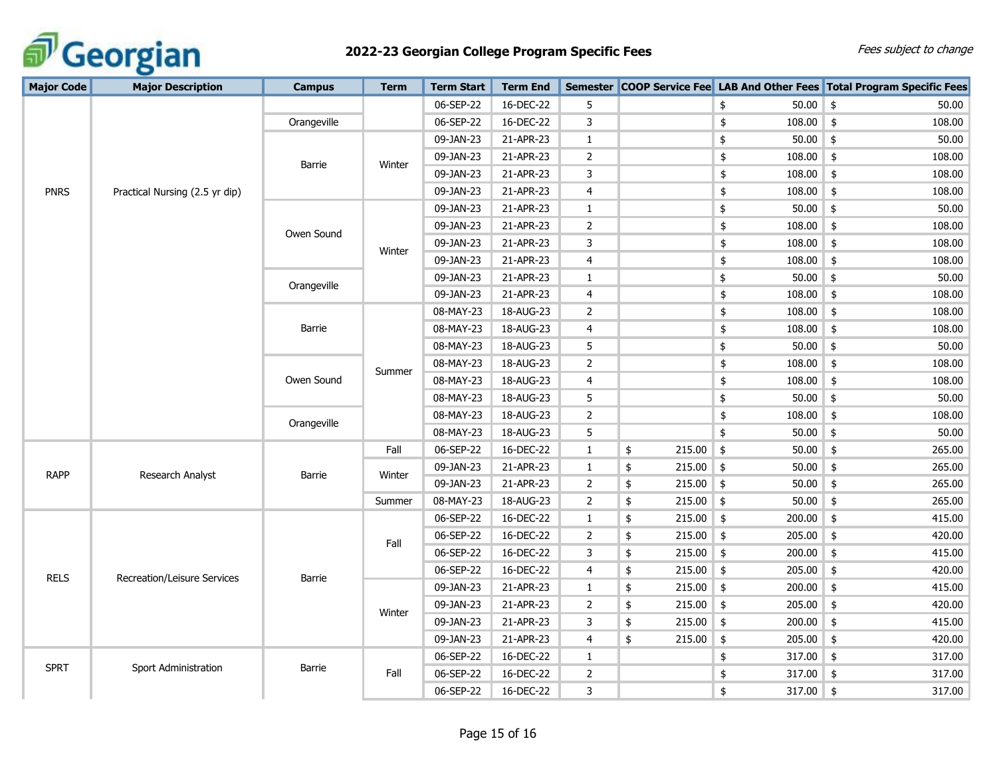

| <b>Major Code</b> | <b>Major Description</b>       | <b>Campus</b>        | <b>Term</b> | <b>Term Start</b> | <b>Term End</b> |                |                   |                         | Semester COOP Service Fee LAB And Other Fees Total Program Specific Fees |
|-------------------|--------------------------------|----------------------|-------------|-------------------|-----------------|----------------|-------------------|-------------------------|--------------------------------------------------------------------------|
|                   |                                |                      |             | 06-SEP-22         | 16-DEC-22       | 5              |                   | 50.00<br>\$             | $\frac{4}{5}$<br>50.00                                                   |
|                   |                                | Orangeville          |             | 06-SEP-22         | 16-DEC-22       | 3              |                   | $108.00$ \$<br>\$       | 108.00                                                                   |
|                   |                                |                      |             | 09-JAN-23         | 21-APR-23       | $\mathbf{1}$   |                   | 50.00<br>\$             | \$<br>50.00                                                              |
|                   |                                |                      | Winter      | 09-JAN-23         | 21-APR-23       | $\overline{2}$ |                   | $108.00$ \$<br>\$       | 108.00                                                                   |
|                   | Practical Nursing (2.5 yr dip) | Barrie               |             | 09-JAN-23         | 21-APR-23       | 3              |                   | $108.00$ \$<br>\$       | 108.00                                                                   |
| <b>PNRS</b>       |                                |                      |             | 09-JAN-23         | 21-APR-23       | 4              |                   | \$<br>108.00            | \$<br>108.00                                                             |
|                   |                                |                      |             | 09-JAN-23         | 21-APR-23       | $\mathbf{1}$   |                   | \$<br>50.00             | \$<br>50.00                                                              |
|                   |                                | Owen Sound           |             | 09-JAN-23         | 21-APR-23       | $\overline{2}$ |                   | 108.00<br>\$            | \$<br>108.00                                                             |
|                   |                                |                      |             | 09-JAN-23         | 21-APR-23       | 3              |                   | 108.00<br>\$            | 108.00<br>\$                                                             |
|                   |                                |                      | Winter      | 09-JAN-23         | 21-APR-23       | $\overline{4}$ |                   | \$<br>108.00            | \$<br>108.00                                                             |
|                   |                                |                      |             | 09-JAN-23         | 21-APR-23       | $\mathbf{1}$   |                   | 50.00<br>\$             | 50.00<br>\$                                                              |
|                   |                                |                      | Orangeville | 09-JAN-23         | 21-APR-23       | 4              |                   | 108.00<br>\$            | \$<br>108.00                                                             |
|                   |                                |                      |             | 08-MAY-23         | 18-AUG-23       | 2              |                   | $\pmb{\$}$<br>108.00    | \$<br>108.00                                                             |
|                   |                                | Barrie               |             | 08-MAY-23         | 18-AUG-23       | 4              |                   | \$<br>108.00            | \$<br>108.00                                                             |
|                   |                                | Summer<br>Owen Sound | 08-MAY-23   | 18-AUG-23         | 5               |                | $50.00$ \$<br>\$  | 50.00                   |                                                                          |
|                   |                                |                      | 08-MAY-23   | 18-AUG-23         | $\overline{2}$  |                | 108.00<br>\$      | 108.00<br>\$            |                                                                          |
|                   |                                |                      |             | 08-MAY-23         | 18-AUG-23       | $\overline{4}$ |                   | 108.00<br>\$            | 108.00<br>\$                                                             |
|                   |                                |                      |             | 08-MAY-23         | 18-AUG-23       | 5              |                   | \$<br>$50.00$ \$        | 50.00                                                                    |
|                   |                                | Orangeville          |             | 08-MAY-23         | 18-AUG-23       | $\overline{2}$ |                   | \$<br>108.00            | \$<br>108.00                                                             |
|                   |                                |                      |             | 08-MAY-23         | 18-AUG-23       | 5              |                   | \$<br>50.00             | \$<br>50.00                                                              |
|                   | Research Analyst               |                      | Fall        | 06-SEP-22         | 16-DEC-22       | $\mathbf{1}$   | $215.00$ \$<br>\$ | $50.00$ \$              | 265.00                                                                   |
| <b>RAPP</b>       |                                | Barrie               |             | 09-JAN-23         | 21-APR-23       | 1              | 215.00<br>\$      | $\frac{1}{2}$<br>50.00  | \$<br>265.00                                                             |
|                   |                                |                      | Winter      | 09-JAN-23         | 21-APR-23       | $\overline{2}$ | \$<br>215.00      | $\frac{1}{2}$<br>50.00  | \$<br>265.00                                                             |
|                   |                                |                      | Summer      | 08-MAY-23         | 18-AUG-23       | $\overline{2}$ | 215.00<br>\$      | 50.00<br>$\frac{1}{2}$  | $\frac{1}{2}$<br>265.00                                                  |
|                   | Recreation/Leisure Services    | Barrie               |             | 06-SEP-22         | 16-DEC-22       | $\mathbf{1}$   | 215.00<br>\$      | $\frac{1}{2}$<br>200.00 | $\frac{1}{2}$<br>415.00                                                  |
|                   |                                |                      | Fall        | 06-SEP-22         | 16-DEC-22       | 2              | $215.00$ \$<br>\$ | 205.00                  | $\frac{1}{2}$<br>420.00                                                  |
|                   |                                |                      |             | 06-SEP-22         | 16-DEC-22       | 3              | \$<br>$215.00$ \$ | $200.00$ \$             | 415.00                                                                   |
|                   |                                |                      |             | 06-SEP-22         | 16-DEC-22       | 4              | $215.00$ \$<br>\$ | 205.00                  | 420.00<br>$\frac{1}{2}$                                                  |
| <b>RELS</b>       |                                |                      |             | 09-JAN-23         | 21-APR-23       | $\mathbf{1}$   | $215.00$ \$<br>\$ | 200.00                  | 415.00<br>\$                                                             |
|                   |                                |                      |             | 09-JAN-23         | 21-APR-23       | $\overline{2}$ | \$<br>215.00      | $205.00$ \$<br>\$       | 420.00                                                                   |
|                   |                                |                      | Winter      | 09-JAN-23         | 21-APR-23       | 3              | $215.00$ \$<br>\$ | $200.00$ \$             | 415.00                                                                   |
|                   |                                |                      |             | 09-JAN-23         | 21-APR-23       | 4              | 215.00<br>\$      | 205.00<br>$\frac{1}{2}$ | $\frac{1}{2}$<br>420.00                                                  |
|                   |                                |                      |             | 06-SEP-22         | 16-DEC-22       | $\mathbf{1}$   |                   | \$<br>317.00            | \$<br>317.00                                                             |
| <b>SPRT</b>       | Sport Administration           | Barrie               | Fall        | 06-SEP-22         | 16-DEC-22       | 2              |                   | \$<br>317.00            | \$<br>317.00                                                             |
|                   |                                |                      |             | 06-SEP-22         | 16-DEC-22       | 3              |                   | $317.00$ \$<br>\$       | 317.00                                                                   |